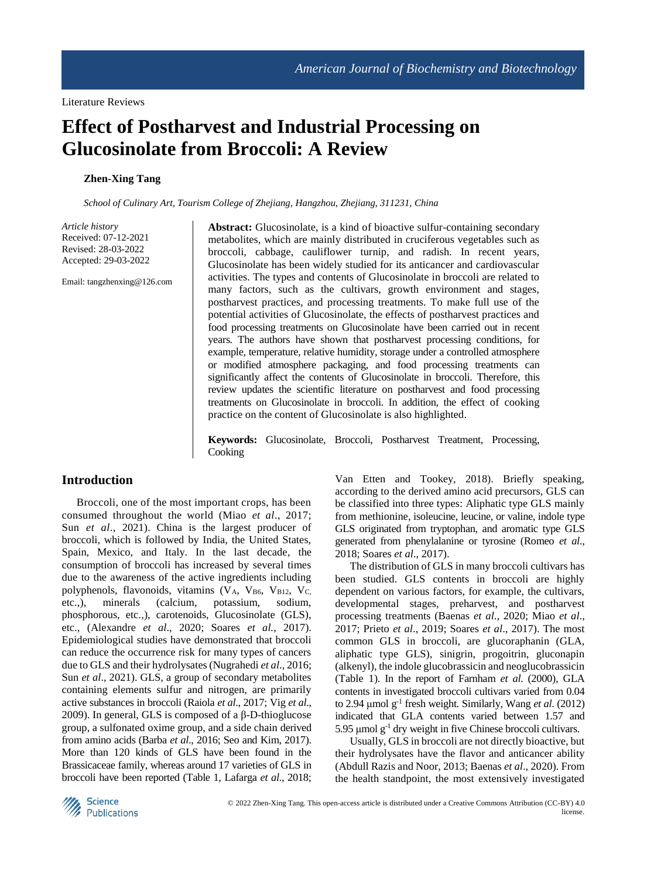# **Effect of Postharvest and Industrial Processing on Glucosinolate from Broccoli: A Review**

## **Zhen-Xing Tang**

*School of Culinary Art, Tourism College of Zhejiang, Hangzhou, Zhejiang, 311231, China*

*Article history* Received: 07-12-2021 Revised: 28-03-2022 Accepted: 29-03-2022

Email: tangzhenxing@126.com

Abstract: Glucosinolate, is a kind of bioactive sulfur-containing secondary metabolites, which are mainly distributed in cruciferous vegetables such as broccoli, cabbage, cauliflower turnip, and radish. In recent years, Glucosinolate has been widely studied for its anticancer and cardiovascular activities. The types and contents of Glucosinolate in broccoli are related to many factors, such as the cultivars, growth environment and stages, postharvest practices, and processing treatments. To make full use of the potential activities of Glucosinolate, the effects of postharvest practices and food processing treatments on Glucosinolate have been carried out in recent years. The authors have shown that postharvest processing conditions, for example, temperature, relative humidity, storage under a controlled atmosphere or modified atmosphere packaging, and food processing treatments can significantly affect the contents of Glucosinolate in broccoli. Therefore, this review updates the scientific literature on postharvest and food processing treatments on Glucosinolate in broccoli. In addition, the effect of cooking practice on the content of Glucosinolate is also highlighted.

**Keywords:** Glucosinolate, Broccoli, Postharvest Treatment, Processing, Cooking

## **Introduction**

Broccoli, one of the most important crops, has been consumed throughout the world (Miao *et al*., 2017; Sun *et al*., 2021). China is the largest producer of broccoli, which is followed by India, the United States, Spain, Mexico, and Italy. In the last decade, the consumption of broccoli has increased by several times due to the awareness of the active ingredients including polyphenols, flavonoids, vitamins  $(V_A, V_{B6}, V_{B12}, V_C)$ etc.,), minerals (calcium, potassium, sodium, phosphorous, etc.,), carotenoids, Glucosinolate (GLS), etc., (Alexandre *et al*., 2020; Soares *et al.*, 2017). Epidemiological studies have demonstrated that broccoli can reduce the occurrence risk for many types of cancers due to GLS and their hydrolysates (Nugrahedi *et al*., 2016; Sun *et al*., 2021). GLS, a group of secondary metabolites containing elements sulfur and nitrogen, are primarily active substances in broccoli (Raiola *et al*., 2017; Vig *et al*., 2009). In general, GLS is composed of a β-D-thioglucose group, a sulfonated oxime group, and a side chain derived from amino acids (Barba *et al*., 2016; Seo and Kim, 2017). More than 120 kinds of GLS have been found in the Brassicaceae family, whereas around 17 varieties of GLS in broccoli have been reported (Table 1, Lafarga *et al*., 2018;

Van Etten and Tookey, 2018). Briefly speaking, according to the derived amino acid precursors, GLS can be classified into three types: Aliphatic type GLS mainly from methionine, isoleucine, leucine, or valine, indole type GLS originated from tryptophan, and aromatic type GLS generated from phenylalanine or tyrosine (Romeo *et al*., 2018; Soares *et al*., 2017).

The distribution of GLS in many broccoli cultivars has been studied. GLS contents in broccoli are highly dependent on various factors, for example, the cultivars, developmental stages, preharvest, and postharvest processing treatments (Baenas *et al*., 2020; Miao *et al*., 2017; Prieto *et al*., 2019; Soares *et al*., 2017). The most common GLS in broccoli, are glucoraphanin (GLA, aliphatic type GLS), sinigrin, progoitrin, gluconapin (alkenyl), the indole glucobrassicin and neoglucobrassicin (Table 1). In the report of Farnham *et al*. (2000), GLA contents in investigated broccoli cultivars varied from 0.04 to 2.94 μmol g -1 fresh weight. Similarly, Wang *et al*. (2012) indicated that GLA contents varied between 1.57 and 5.95  $\mu$ mol g<sup>-1</sup> dry weight in five Chinese broccoli cultivars.

Usually, GLS in broccoli are not directly bioactive, but their hydrolysates have the flavor and anticancer ability (Abdull Razis and Noor, 2013; Baenas *et al*., 2020). From the health standpoint, the most extensively investigated

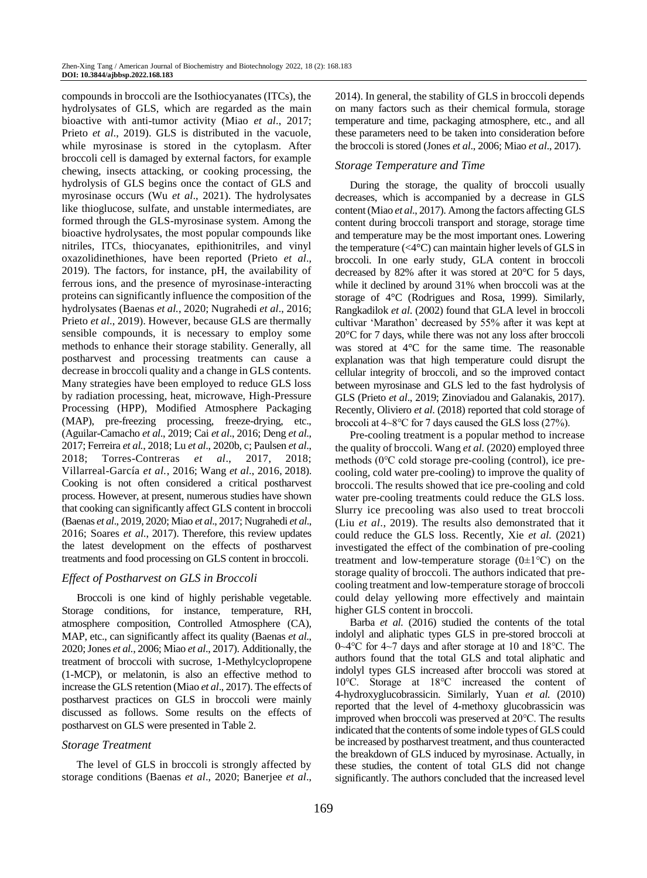compounds in broccoli are the Isothiocyanates (ITCs), the hydrolysates of GLS, which are regarded as the main bioactive with anti-tumor activity (Miao *et al*., 2017; Prieto *et al*., 2019). GLS is distributed in the vacuole, while myrosinase is stored in the cytoplasm. After broccoli cell is damaged by external factors, for example chewing, insects attacking, or cooking processing, the hydrolysis of GLS begins once the contact of GLS and myrosinase occurs (Wu *et al*., 2021). The hydrolysates like thioglucose, sulfate, and unstable intermediates, are formed through the GLS-myrosinase system. Among the bioactive hydrolysates, the most popular compounds like nitriles, ITCs, thiocyanates, epithionitriles, and vinyl oxazolidinethiones, have been reported (Prieto *et al*., 2019). The factors, for instance, pH, the availability of ferrous ions, and the presence of myrosinase-interacting proteins can significantly influence the composition of the hydrolysates (Baenas *et al.*, 2020; Nugrahedi *et al*., 2016; Prieto *et al*., 2019). However, because GLS are thermally sensible compounds, it is necessary to employ some methods to enhance their storage stability. Generally, all postharvest and processing treatments can cause a decrease in broccoli quality and a change in GLS contents. Many strategies have been employed to reduce GLS loss by radiation processing, heat, microwave, High-Pressure Processing (HPP), Modified Atmosphere Packaging (MAP), pre-freezing processing, freeze-drying, etc., (Aguilar-Camacho *et al*., 2019; Cai *et al*., 2016; Deng *et al*., 2017; Ferreira *et al.*, 2018; Lu *et al*., 2020b, c; Paulsen *et al*., 2018; Torres-Contreras *et al*., 2017, 2018; Villarreal-García *et al.*, 2016; Wang *et al*., 2016, 2018). Cooking is not often considered a critical postharvest process. However, at present, numerous studies have shown that cooking can significantly affect GLS content in broccoli (Baenas *et al*., 2019, 2020; Miao *et al*., 2017; Nugrahedi *et al*., 2016; Soares *et al.*, 2017). Therefore, this review updates the latest development on the effects of postharvest treatments and food processing on GLS content in broccoli.

#### *Effect of Postharvest on GLS in Broccoli*

Broccoli is one kind of highly perishable vegetable. Storage conditions, for instance, temperature, RH, atmosphere composition, Controlled Atmosphere (CA), MAP, etc., can significantly affect its quality (Baenas *et al*., 2020; Jones *et al.*, 2006; Miao *et al*., 2017). Additionally, the treatment of broccoli with sucrose, 1-Methylcyclopropene (1-MCP), or melatonin, is also an effective method to increase the GLS retention (Miao *et al*., 2017). The effects of postharvest practices on GLS in broccoli were mainly discussed as follows. Some results on the effects of postharvest on GLS were presented in Table 2.

## *Storage Treatment*

The level of GLS in broccoli is strongly affected by storage conditions (Baenas *et al*., 2020; Banerjee *et al*., 2014). In general, the stability of GLS in broccoli depends on many factors such as their chemical formula, storage temperature and time, packaging atmosphere, etc., and all these parameters need to be taken into consideration before the broccoli is stored (Jones *et al*., 2006; Miao *et al*., 2017).

## *Storage Temperature and Time*

During the storage, the quality of broccoli usually decreases, which is accompanied by a decrease in GLS content (Miao *et al*., 2017). Among the factors affecting GLS content during broccoli transport and storage, storage time and temperature may be the most important ones. Lowering the temperature  $( $4^{\circ}$ C)$  can maintain higher levels of GLS in broccoli. In one early study, GLA content in broccoli decreased by 82% after it was stored at 20°C for 5 days, while it declined by around 31% when broccoli was at the storage of 4°C (Rodrigues and Rosa, 1999). Similarly, Rangkadilok *et al*. (2002) found that GLA level in broccoli cultivar 'Marathon' decreased by 55% after it was kept at 20°C for 7 days, while there was not any loss after broccoli was stored at 4°C for the same time. The reasonable explanation was that high temperature could disrupt the cellular integrity of broccoli, and so the improved contact between myrosinase and GLS led to the fast hydrolysis of GLS (Prieto *et al*., 2019; Zinoviadou and Galanakis, 2017). Recently, Oliviero *et al*. (2018) reported that cold storage of broccoli at 4~8℃ for 7 days caused the GLS loss (27%).

Pre-cooling treatment is a popular method to increase the quality of broccoli. Wang *et al.* (2020) employed three methods (0℃ cold storage pre-cooling (control), ice precooling, cold water pre-cooling) to improve the quality of broccoli. The results showed that ice pre-cooling and cold water pre-cooling treatments could reduce the GLS loss. Slurry ice precooling was also used to treat broccoli (Liu *et al*., 2019). The results also demonstrated that it could reduce the GLS loss. Recently, Xie *et al.* (2021) investigated the effect of the combination of pre-cooling treatment and low-temperature storage  $(0±1°C)$  on the storage quality of broccoli. The authors indicated that precooling treatment and low-temperature storage of broccoli could delay yellowing more effectively and maintain higher GLS content in broccoli.

Barba *et al.* (2016) studied the contents of the total indolyl and aliphatic types GLS in pre-stored broccoli at 0~4℃ for 4~7 days and after storage at 10 and 18℃. The authors found that the total GLS and total aliphatic and indolyl types GLS increased after broccoli was stored at 10℃. Storage at 18℃ increased the content of 4-hydroxyglucobrassicin. Similarly, Yuan *et al.* (2010) reported that the level of 4-methoxy glucobrassicin was improved when broccoli was preserved at 20℃. The results indicated that the contents of some indole types of GLS could be increased by postharvest treatment, and thus counteracted the breakdown of GLS induced by myrosinase. Actually, in these studies, the content of total GLS did not change significantly. The authors concluded that the increased level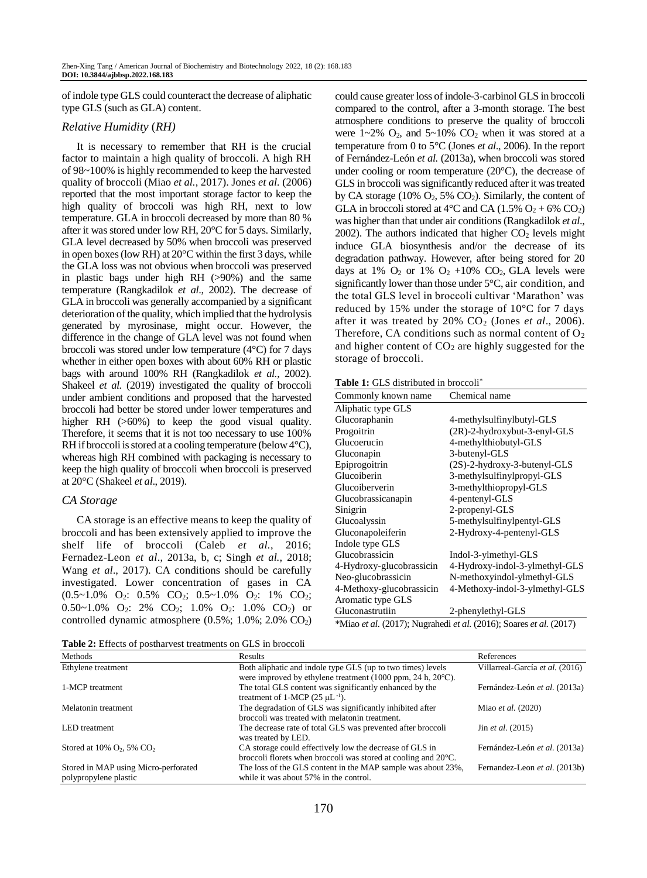of indole type GLS could counteract the decrease of aliphatic type GLS (such as GLA) content.

#### *Relative Humidity* (*RH)*

It is necessary to remember that RH is the crucial factor to maintain a high quality of broccoli. A high RH of 98~100% is highly recommended to keep the harvested quality of broccoli (Miao *et al.*, 2017). Jones *et al.* (2006) reported that the most important storage factor to keep the high quality of broccoli was high RH, next to low temperature. GLA in broccoli decreased by more than 80 % after it was stored under low RH, 20°C for 5 days. Similarly, GLA level decreased by 50% when broccoli was preserved in open boxes (low RH) at 20°C within the first 3 days, while the GLA loss was not obvious when broccoli was preserved in plastic bags under high RH (>90%) and the same temperature (Rangkadilok *et al*., 2002). The decrease of GLA in broccoli was generally accompanied by a significant deterioration of the quality, which implied that the hydrolysis generated by myrosinase, might occur. However, the difference in the change of GLA level was not found when broccoli was stored under low temperature (4°C) for 7 days whether in either open boxes with about 60% RH or plastic bags with around 100% RH (Rangkadilok *et al.*, 2002). Shakeel *et al.* (2019) investigated the quality of broccoli under ambient conditions and proposed that the harvested broccoli had better be stored under lower temperatures and higher RH ( $>60\%$ ) to keep the good visual quality. Therefore, it seems that it is not too necessary to use 100% RH if broccoli is stored at a cooling temperature (below  $4^{\circ}$ C), whereas high RH combined with packaging is necessary to keep the high quality of broccoli when broccoli is preserved at 20°C (Shakeel *et al*., 2019).

#### *CA Storage*

CA storage is an effective means to keep the quality of broccoli and has been extensively applied to improve the shelf life of broccoli (Caleb *et al.*, 2016; Fernadez-Leon *et al*., 2013a, b, c; Singh *et al.*, 2018; Wang *et al*., 2017). CA conditions should be carefully investigated. Lower concentration of gases in CA (0.5~1.0% O2: 0.5% CO2; 0.5~1.0% O2: 1% CO2;  $0.50~1.0\%$  O<sub>2</sub>: 2% CO<sub>2</sub>; 1.0% O<sub>2</sub>: 1.0% CO<sub>2</sub>) or controlled dynamic atmosphere  $(0.5\%; 1.0\%; 2.0\% \text{ CO}_2)$  could cause greater loss of indole-3-carbinol GLS in broccoli compared to the control, after a 3-month storage. The best atmosphere conditions to preserve the quality of broccoli were  $1 \sim 2\%$  O<sub>2</sub>, and  $5 \sim 10\%$  CO<sub>2</sub> when it was stored at a temperature from 0 to 5°C (Jones *et al*., 2006). In the report of Fernández-León *et al.* (2013a), when broccoli was stored under cooling or room temperature (20°C), the decrease of GLS in broccoli was significantly reduced after it was treated by CA storage (10%  $O_2$ , 5%  $CO_2$ ). Similarly, the content of GLA in broccoli stored at  $4^{\circ}$ C and CA (1.5% O<sub>2</sub> + 6% CO<sub>2</sub>) was higher than that under air conditions (Rangkadilok *et al*.,  $2002$ ). The authors indicated that higher  $CO<sub>2</sub>$  levels might induce GLA biosynthesis and/or the decrease of its degradation pathway. However, after being stored for 20 days at 1%  $O_2$  or 1%  $O_2$  +10%  $CO_2$ , GLA levels were significantly lower than those under 5°C, air condition, and the total GLS level in broccoli cultivar 'Marathon' was reduced by 15% under the storage of 10°C for 7 days after it was treated by  $20\%$  CO<sub>2</sub> (Jones *et al.*, 2006). Therefore, CA conditions such as normal content of  $O_2$ and higher content of  $CO<sub>2</sub>$  are highly suggested for the storage of broccoli.

|  |  | <b>Table 1:</b> GLS distributed in broccoli <sup>*</sup> |  |  |
|--|--|----------------------------------------------------------|--|--|
|--|--|----------------------------------------------------------|--|--|

| Commonly known name      | Chemical name                  |  |  |
|--------------------------|--------------------------------|--|--|
| Aliphatic type GLS       |                                |  |  |
| Glucoraphanin            | 4-methylsulfinylbutyl-GLS      |  |  |
| Progoitrin               | (2R)-2-hydroxybut-3-enyl-GLS   |  |  |
| Glucoerucin              | 4-methylthiobutyl-GLS          |  |  |
| Gluconapin               | 3-butenyl-GLS                  |  |  |
| Epiprogoitrin            | (2S)-2-hydroxy-3-butenyl-GLS   |  |  |
| Glucoiberin              | 3-methylsulfinylpropyl-GLS     |  |  |
| Glucoiberverin           | 3-methylthiopropyl-GLS         |  |  |
| Glucobrassicanapin       | 4-pentenyl-GLS                 |  |  |
| Sinigrin                 | 2-propenyl-GLS                 |  |  |
| Glucoalyssin             | 5-methylsulfinylpentyl-GLS     |  |  |
| Gluconapoleiferin        | 2-Hydroxy-4-pentenyl-GLS       |  |  |
| Indole type GLS          |                                |  |  |
| Glucobrassicin           | Indol-3-ylmethyl-GLS           |  |  |
| 4-Hydroxy-glucobrassicin | 4-Hydroxy-indol-3-ylmethyl-GLS |  |  |
| Neo-glucobrassicin       | N-methoxyindol-ylmethyl-GLS    |  |  |
| 4-Methoxy-glucobrassicin | 4-Methoxy-indol-3-ylmethyl-GLS |  |  |
| Aromatic type GLS        |                                |  |  |
| Gluconastrutiin          | 2-phenylethyl-GLS              |  |  |

\*Miao *et al.* (2017); Nugrahedi *et al.* (2016); Soares *et al.* (2017)

**Table 2:** Effects of postharvest treatments on GLS in broccoli

| Methods                                              | Results                                                                            | References                                    |
|------------------------------------------------------|------------------------------------------------------------------------------------|-----------------------------------------------|
| Ethylene treatment                                   | Both aliphatic and indole type GLS (up to two times) levels                        | Villarreal-García et al. (2016)               |
|                                                      | were improved by ethylene treatment $(1000$ ppm, 24 h, $20^{\circ}$ C).            |                                               |
| 1-MCP treatment                                      | The total GLS content was significantly enhanced by the                            | Fernández-León et al. (2013a)                 |
|                                                      | treatment of 1-MCP $(25 \mu L^{-1})$ .                                             |                                               |
| Melatonin treatment                                  | The degradation of GLS was significantly inhibited after                           | Miao et al. (2020)                            |
|                                                      | broccoli was treated with melatonin treatment.                                     |                                               |
| LED treatment                                        | The decrease rate of total GLS was prevented after broccoli<br>was treated by LED. | $\text{Jin } et \text{ } al. \text{ } (2015)$ |
| Stored at $10\%$ O <sub>2</sub> , 5% CO <sub>2</sub> | CA storage could effectively low the decrease of GLS in                            | Fernández-León et al. (2013a)                 |
|                                                      | broccoli florets when broccoli was stored at cooling and 20 °C.                    |                                               |
| Stored in MAP using Micro-perforated                 | The loss of the GLS content in the MAP sample was about 23%,                       | Fernandez-Leon et al. (2013b)                 |
| polypropylene plastic                                | while it was about 57% in the control.                                             |                                               |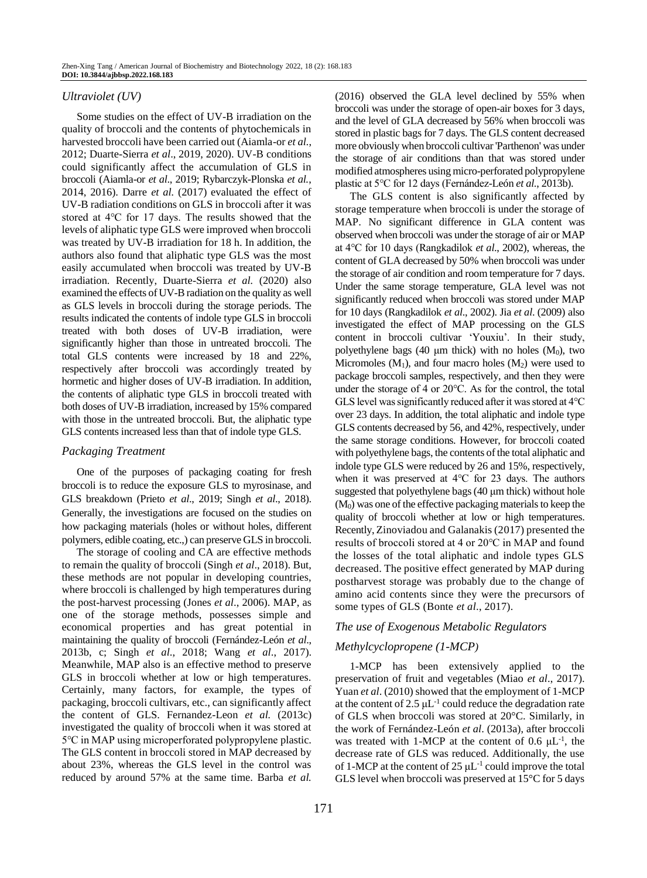## *Ultraviolet (UV)*

Some studies on the effect of UV-B irradiation on the quality of broccoli and the contents of phytochemicals in harvested broccoli have been carried out (Aiamla-or *et al.*, 2012; Duarte-Sierra *et al*., 2019, 2020). UV-B conditions could significantly affect the accumulation of GLS in broccoli (Aiamla-or *et al*., 2019; Rybarczyk-Plonska *et al.*, 2014, 2016). Darre *et al.* (2017) evaluated the effect of UV-B radiation conditions on GLS in broccoli after it was stored at 4℃ for 17 days. The results showed that the levels of aliphatic type GLS were improved when broccoli was treated by UV-B irradiation for 18 h. In addition, the authors also found that aliphatic type GLS was the most easily accumulated when broccoli was treated by UV-B irradiation. Recently, Duarte-Sierra *et al.* (2020) also examined the effects of UV-B radiation on the quality as well as GLS levels in broccoli during the storage periods. The results indicated the contents of indole type GLS in broccoli treated with both doses of UV-B irradiation, were significantly higher than those in untreated broccoli. The total GLS contents were increased by 18 and 22%, respectively after broccoli was accordingly treated by hormetic and higher doses of UV-B irradiation. In addition, the contents of aliphatic type GLS in broccoli treated with both doses of UV-B irradiation, increased by 15% compared with those in the untreated broccoli. But, the aliphatic type GLS contents increased less than that of indole type GLS.

## *Packaging Treatment*

One of the purposes of packaging coating for fresh broccoli is to reduce the exposure GLS to myrosinase, and GLS breakdown (Prieto *et al*., 2019; Singh *et al*., 2018). Generally, the investigations are focused on the studies on how packaging materials (holes or without holes, different polymers, edible coating, etc.,) can preserve GLS in broccoli.

The storage of cooling and CA are effective methods to remain the quality of broccoli (Singh *et al*., 2018). But, these methods are not popular in developing countries, where broccoli is challenged by high temperatures during the post-harvest processing (Jones *et al*., 2006). MAP, as one of the storage methods, possesses simple and economical properties and has great potential in maintaining the quality of broccoli (Fernández-León *et al*., 2013b, c; Singh *et al*., 2018; Wang *et al*., 2017). Meanwhile, MAP also is an effective method to preserve GLS in broccoli whether at low or high temperatures. Certainly, many factors, for example, the types of packaging, broccoli cultivars, etc., can significantly affect the content of GLS. Fernandez-Leon *et al.* (2013c) investigated the quality of broccoli when it was stored at 5℃ in MAP using microperforated polypropylene plastic. The GLS content in broccoli stored in MAP decreased by about 23%, whereas the GLS level in the control was reduced by around 57% at the same time. Barba *et al.*

(2016) observed the GLA level declined by 55% when broccoli was under the storage of open-air boxes for 3 days, and the level of GLA decreased by 56% when broccoli was stored in plastic bags for 7 days. The GLS content decreased more obviously when broccoli cultivar 'Parthenon' was under the storage of air conditions than that was stored under modified atmospheres using micro-perforated polypropylene plastic at 5℃ for 12 days (Fernández-León *et al*., 2013b).

The GLS content is also significantly affected by storage temperature when broccoli is under the storage of MAP. No significant difference in GLA content was observed when broccoli was under the storage of air or MAP at 4℃ for 10 days (Rangkadilok *et al*., 2002), whereas, the content of GLA decreased by 50% when broccoli was under the storage of air condition and room temperature for 7 days. Under the same storage temperature, GLA level was not significantly reduced when broccoli was stored under MAP for 10 days (Rangkadilok *et al*., 2002). Jia *et al*. (2009) also investigated the effect of MAP processing on the GLS content in broccoli cultivar 'Youxiu'. In their study, polyethylene bags (40  $\mu$ m thick) with no holes (M<sub>0</sub>), two Micromoles  $(M_1)$ , and four macro holes  $(M_2)$  were used to package broccoli samples, respectively, and then they were under the storage of 4 or 20℃. As for the control, the total GLS level was significantly reduced after it was stored at 4℃ over 23 days. In addition, the total aliphatic and indole type GLS contents decreased by 56, and 42%, respectively, under the same storage conditions. However, for broccoli coated with polyethylene bags, the contents of the total aliphatic and indole type GLS were reduced by 26 and 15%, respectively, when it was preserved at 4℃ for 23 days. The authors suggested that polyethylene bags (40 μm thick) without hole  $(M<sub>0</sub>)$  was one of the effective packaging materials to keep the quality of broccoli whether at low or high temperatures. Recently, Zinoviadou and Galanakis (2017) presented the results of broccoli stored at 4 or 20℃ in MAP and found the losses of the total aliphatic and indole types GLS decreased. The positive effect generated by MAP during postharvest storage was probably due to the change of amino acid contents since they were the precursors of some types of GLS (Bonte *et al*., 2017).

## *The use of Exogenous Metabolic Regulators*

## *Methylcyclopropene (1-MCP)*

1-MCP has been extensively applied to the preservation of fruit and vegetables (Miao *et al*., 2017). Yuan *et al*. (2010) showed that the employment of 1-MCP at the content of 2.5  $\mu$ L<sup>-1</sup> could reduce the degradation rate of GLS when broccoli was stored at 20°C. Similarly, in the work of Fernández-León *et al*. (2013a), after broccoli was treated with 1-MCP at the content of 0.6  $\mu$ L<sup>-1</sup>, the decrease rate of GLS was reduced. Additionally, the use of 1-MCP at the content of 25  $\mu$ L<sup>-1</sup> could improve the total GLS level when broccoli was preserved at 15°C for 5 days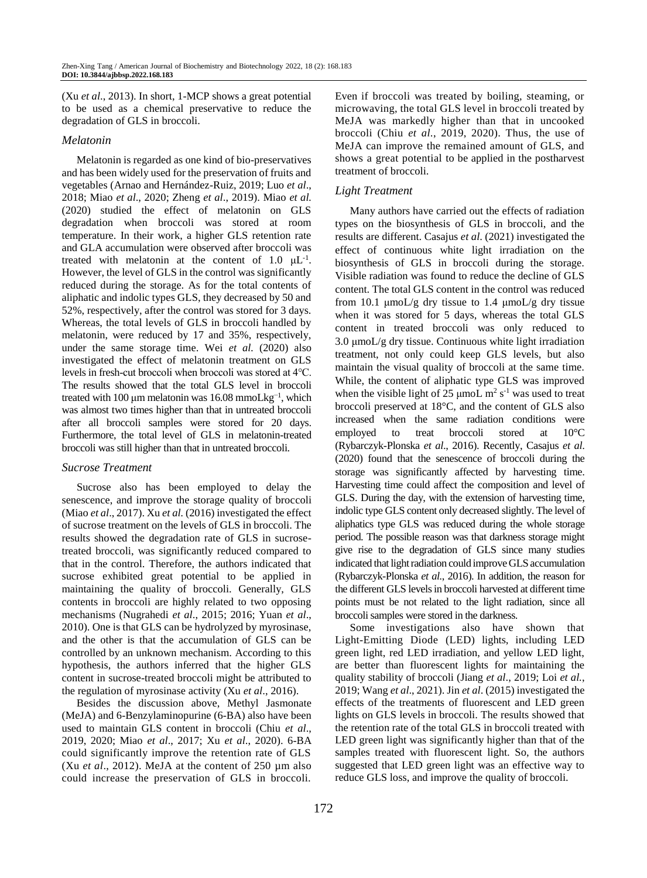(Xu *et al*., 2013). In short, 1-MCP shows a great potential to be used as a chemical preservative to reduce the degradation of GLS in broccoli.

#### *Melatonin*

Melatonin is regarded as one kind of bio-preservatives and has been widely used for the preservation of fruits and vegetables (Arnao and Hernández-Ruiz, 2019; Luo *et al*., 2018; Miao *et al*., 2020; Zheng *et al*., 2019). Miao *et al.* (2020) studied the effect of melatonin on GLS degradation when broccoli was stored at room temperature. In their work, a higher GLS retention rate and GLA accumulation were observed after broccoli was treated with melatonin at the content of  $1.0 \mu L^{-1}$ . However, the level of GLS in the control was significantly reduced during the storage. As for the total contents of aliphatic and indolic types GLS, they decreased by 50 and 52%, respectively, after the control was stored for 3 days. Whereas, the total levels of GLS in broccoli handled by melatonin, were reduced by 17 and 35%, respectively, under the same storage time. Wei *et al.* (2020) also investigated the effect of melatonin treatment on GLS levels in fresh-cut broccoli when broccoli was stored at 4℃. The results showed that the total GLS level in broccoli treated with 100 μm melatonin was 16.08 mmoLkg<sup>-1</sup>, which was almost two times higher than that in untreated broccoli after all broccoli samples were stored for 20 days. Furthermore, the total level of GLS in melatonin-treated broccoli was still higher than that in untreated broccoli.

## *Sucrose Treatment*

Sucrose also has been employed to delay the senescence, and improve the storage quality of broccoli (Miao *et al*., 2017). Xu *et al.* (2016) investigated the effect of sucrose treatment on the levels of GLS in broccoli. The results showed the degradation rate of GLS in sucrosetreated broccoli, was significantly reduced compared to that in the control. Therefore, the authors indicated that sucrose exhibited great potential to be applied in maintaining the quality of broccoli. Generally, GLS contents in broccoli are highly related to two opposing mechanisms (Nugrahedi *et al*., 2015; 2016; Yuan *et al*., 2010). One is that GLS can be hydrolyzed by myrosinase, and the other is that the accumulation of GLS can be controlled by an unknown mechanism. According to this hypothesis, the authors inferred that the higher GLS content in sucrose-treated broccoli might be attributed to the regulation of myrosinase activity (Xu *et al*., 2016).

Besides the discussion above, Methyl Jasmonate (MeJA) and 6-Benzylaminopurine (6-BA) also have been used to maintain GLS content in broccoli (Chiu *et al*., 2019, 2020; Miao *et al*., 2017; Xu *et al*., 2020). 6-BA could significantly improve the retention rate of GLS (Xu *et al*., 2012). MeJA at the content of 250 µm also could increase the preservation of GLS in broccoli.

Even if broccoli was treated by boiling, steaming, or microwaving, the total GLS level in broccoli treated by MeJA was markedly higher than that in uncooked broccoli (Chiu *et al*., 2019, 2020). Thus, the use of MeJA can improve the remained amount of GLS, and shows a great potential to be applied in the postharvest treatment of broccoli.

## *Light Treatment*

Many authors have carried out the effects of radiation types on the biosynthesis of GLS in broccoli, and the results are different. Casajus *et al*. (2021) investigated the effect of continuous white light irradiation on the biosynthesis of GLS in broccoli during the storage. Visible radiation was found to reduce the decline of GLS content. The total GLS content in the control was reduced from 10.1  $\mu$ moL/g dry tissue to 1.4  $\mu$ moL/g dry tissue when it was stored for 5 days, whereas the total GLS content in treated broccoli was only reduced to 3.0 μmoL/g dry tissue. Continuous white light irradiation treatment, not only could keep GLS levels, but also maintain the visual quality of broccoli at the same time. While, the content of aliphatic type GLS was improved when the visible light of 25  $\mu$ moL m<sup>2</sup> s<sup>-1</sup> was used to treat broccoli preserved at 18°C, and the content of GLS also increased when the same radiation conditions were employed to treat broccoli stored at 10°C (Rybarczyk-Plonska *et al*., 2016). Recently, Casajus *et al*. (2020) found that the senescence of broccoli during the storage was significantly affected by harvesting time. Harvesting time could affect the composition and level of GLS. During the day, with the extension of harvesting time, indolic type GLS content only decreased slightly. The level of aliphatics type GLS was reduced during the whole storage period. The possible reason was that darkness storage might give rise to the degradation of GLS since many studies indicated that light radiation could improve GLS accumulation (Rybarczyk-Plonska *et al.*, 2016). In addition, the reason for the different GLS levels in broccoli harvested at different time points must be not related to the light radiation, since all broccoli samples were stored in the darkness.

Some investigations also have shown that Light-Emitting Diode (LED) lights, including LED green light, red LED irradiation, and yellow LED light, are better than fluorescent lights for maintaining the quality stability of broccoli (Jiang *et al*., 2019; Loi *et al.*, 2019; Wang *et al*., 2021). Jin *et al*. (2015) investigated the effects of the treatments of fluorescent and LED green lights on GLS levels in broccoli. The results showed that the retention rate of the total GLS in broccoli treated with LED green light was significantly higher than that of the samples treated with fluorescent light. So, the authors suggested that LED green light was an effective way to reduce GLS loss, and improve the quality of broccoli.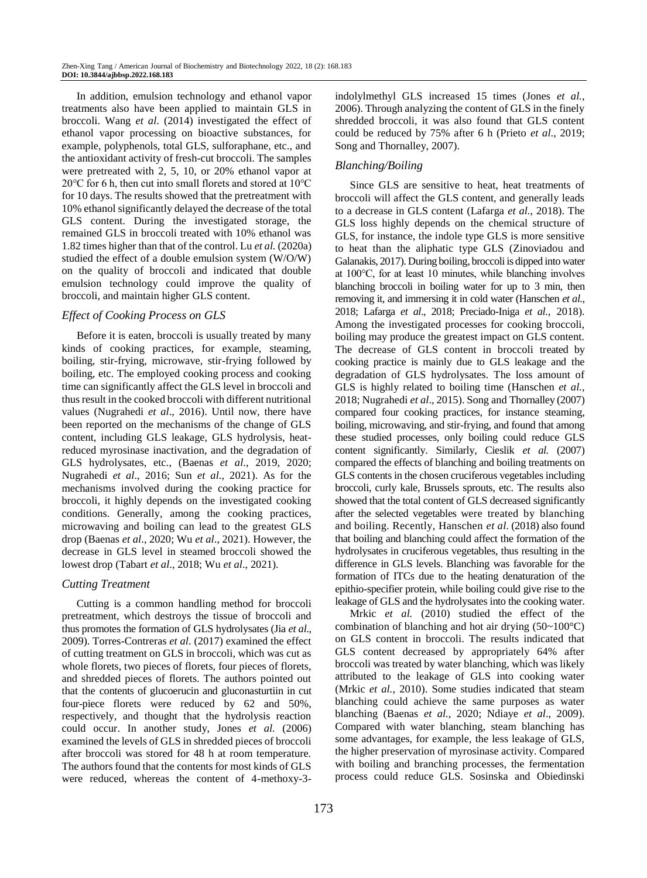In addition, emulsion technology and ethanol vapor treatments also have been applied to maintain GLS in broccoli. Wang *et al*. (2014) investigated the effect of ethanol vapor processing on bioactive substances, for example, polyphenols, total GLS, sulforaphane, etc., and the antioxidant activity of fresh-cut broccoli. The samples were pretreated with 2, 5, 10, or 20% ethanol vapor at 20℃ for 6 h, then cut into small florets and stored at 10℃ for 10 days. The results showed that the pretreatment with 10% ethanol significantly delayed the decrease of the total GLS content. During the investigated storage, the remained GLS in broccoli treated with 10% ethanol was 1.82 times higher than that of the control. Lu *et al.* (2020a) studied the effect of a double emulsion system (W/O/W) on the quality of broccoli and indicated that double emulsion technology could improve the quality of broccoli, and maintain higher GLS content.

#### *Effect of Cooking Process on GLS*

Before it is eaten, broccoli is usually treated by many kinds of cooking practices, for example, steaming, boiling, stir-frying, microwave, stir-frying followed by boiling, etc. The employed cooking process and cooking time can significantly affect the GLS level in broccoli and thus result in the cooked broccoli with different nutritional values (Nugrahedi *et al*., 2016). Until now, there have been reported on the mechanisms of the change of GLS content, including GLS leakage, GLS hydrolysis, heatreduced myrosinase inactivation, and the degradation of GLS hydrolysates, etc., (Baenas *et al*., 2019, 2020; Nugrahedi *et al*., 2016; Sun *et al*., 2021). As for the mechanisms involved during the cooking practice for broccoli, it highly depends on the investigated cooking conditions. Generally, among the cooking practices, microwaving and boiling can lead to the greatest GLS drop (Baenas *et al*., 2020; Wu *et al*., 2021). However, the decrease in GLS level in steamed broccoli showed the lowest drop (Tabart *et al*., 2018; Wu *et al*., 2021).

## *Cutting Treatment*

Cutting is a common handling method for broccoli pretreatment, which destroys the tissue of broccoli and thus promotes the formation of GLS hydrolysates (Jia *et al*., 2009). Torres-Contreras *et al*. (2017) examined the effect of cutting treatment on GLS in broccoli, which was cut as whole florets, two pieces of florets, four pieces of florets, and shredded pieces of florets. The authors pointed out that the contents of glucoerucin and gluconasturtiin in cut four-piece florets were reduced by 62 and 50%, respectively, and thought that the hydrolysis reaction could occur. In another study, Jones *et al.* (2006) examined the levels of GLS in shredded pieces of broccoli after broccoli was stored for 48 h at room temperature. The authors found that the contents for most kinds of GLS were reduced, whereas the content of 4-methoxy-3indolylmethyl GLS increased 15 times (Jones *et al.*, 2006). Through analyzing the content of GLS in the finely shredded broccoli, it was also found that GLS content could be reduced by 75% after 6 h (Prieto *et al*., 2019; Song and Thornalley, 2007).

## *Blanching/Boiling*

Since GLS are sensitive to heat, heat treatments of broccoli will affect the GLS content, and generally leads to a decrease in GLS content (Lafarga *et al.*, 2018). The GLS loss highly depends on the chemical structure of GLS, for instance, the indole type GLS is more sensitive to heat than the aliphatic type GLS (Zinoviadou and Galanakis, 2017). During boiling, broccoli is dipped into water at 100℃, for at least 10 minutes, while blanching involves blanching broccoli in boiling water for up to 3 min, then removing it, and immersing it in cold water (Hanschen *et al.*, 2018; Lafarga *et al*., 2018; Preciado-Iniga *et al*., 2018). Among the investigated processes for cooking broccoli, boiling may produce the greatest impact on GLS content. The decrease of GLS content in broccoli treated by cooking practice is mainly due to GLS leakage and the degradation of GLS hydrolysates. The loss amount of GLS is highly related to boiling time (Hanschen *et al.*, 2018; Nugrahedi *et al*., 2015). Song and Thornalley (2007) compared four cooking practices, for instance steaming, boiling, microwaving, and stir-frying, and found that among these studied processes, only boiling could reduce GLS content significantly. Similarly, Cieslik *et al.* (2007) compared the effects of blanching and boiling treatments on GLS contents in the chosen cruciferous vegetables including broccoli, curly kale, Brussels sprouts, etc. The results also showed that the total content of GLS decreased significantly after the selected vegetables were treated by blanching and boiling. Recently, Hanschen *et al.* (2018) also found that boiling and blanching could affect the formation of the hydrolysates in cruciferous vegetables, thus resulting in the difference in GLS levels. Blanching was favorable for the formation of ITCs due to the heating denaturation of the epithio-specifier protein, while boiling could give rise to the leakage of GLS and the hydrolysates into the cooking water.

Mrkic *et al.* (2010) studied the effect of the combination of blanching and hot air drying  $(50~100^{\circ}C)$ on GLS content in broccoli. The results indicated that GLS content decreased by appropriately 64% after broccoli was treated by water blanching, which was likely attributed to the leakage of GLS into cooking water (Mrkic *et al.*, 2010). Some studies indicated that steam blanching could achieve the same purposes as water blanching (Baenas *et al.*, 2020; Ndiaye *et al*., 2009). Compared with water blanching, steam blanching has some advantages, for example, the less leakage of GLS, the higher preservation of myrosinase activity. Compared with boiling and branching processes, the fermentation process could reduce GLS. Sosinska and Obiedinski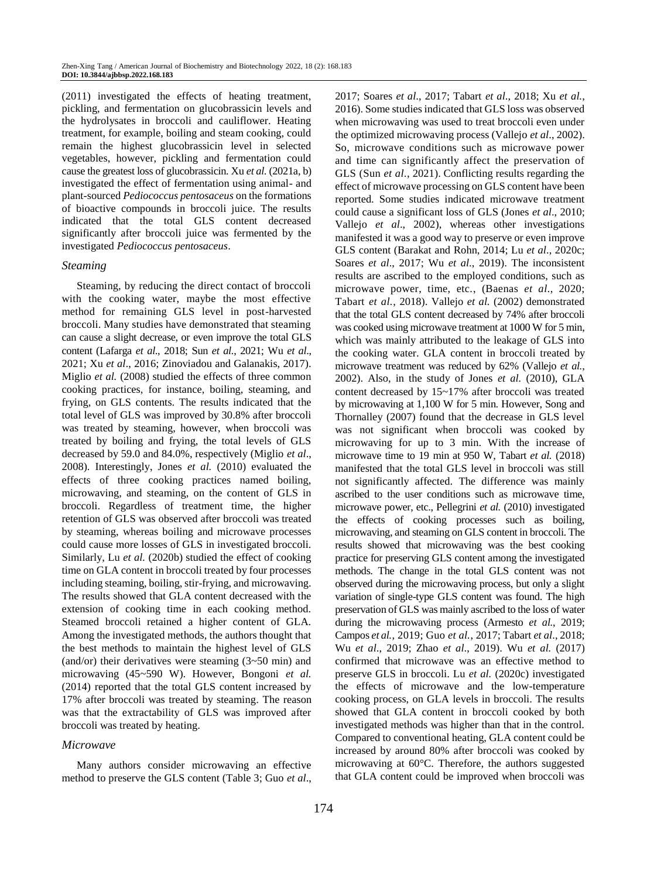(2011) investigated the effects of heating treatment, pickling, and fermentation on glucobrassicin levels and the hydrolysates in broccoli and cauliflower. Heating treatment, for example, boiling and steam cooking, could remain the highest glucobrassicin level in selected vegetables, however, pickling and fermentation could cause the greatest loss of glucobrassicin. Xu *et al.* (2021a, b) investigated the effect of fermentation using animal- and plant-sourced *Pediococcus pentosaceus* on the formations of bioactive compounds in broccoli juice. The results indicated that the total GLS content decreased significantly after broccoli juice was fermented by the investigated *Pediococcus pentosaceus*.

#### *Steaming*

Steaming, by reducing the direct contact of broccoli with the cooking water, maybe the most effective method for remaining GLS level in post-harvested broccoli. Many studies have demonstrated that steaming can cause a slight decrease, or even improve the total GLS content (Lafarga *et al*., 2018; Sun *et al.*, 2021; Wu *et al*., 2021; Xu *et al*., 2016; Zinoviadou and Galanakis, 2017). Miglio *et al.* (2008) studied the effects of three common cooking practices, for instance, boiling, steaming, and frying, on GLS contents. The results indicated that the total level of GLS was improved by 30.8% after broccoli was treated by steaming, however, when broccoli was treated by boiling and frying, the total levels of GLS decreased by 59.0 and 84.0%, respectively (Miglio *et al*., 2008). Interestingly, Jones *et al.* (2010) evaluated the effects of three cooking practices named boiling, microwaving, and steaming, on the content of GLS in broccoli. Regardless of treatment time, the higher retention of GLS was observed after broccoli was treated by steaming, whereas boiling and microwave processes could cause more losses of GLS in investigated broccoli. Similarly, Lu *et al.* (2020b) studied the effect of cooking time on GLA content in broccoli treated by four processes including steaming, boiling, stir-frying, and microwaving. The results showed that GLA content decreased with the extension of cooking time in each cooking method. Steamed broccoli retained a higher content of GLA. Among the investigated methods, the authors thought that the best methods to maintain the highest level of GLS (and/or) their derivatives were steaming (3~50 min) and microwaving (45~590 W). However, Bongoni *et al.* (2014) reported that the total GLS content increased by 17% after broccoli was treated by steaming. The reason was that the extractability of GLS was improved after broccoli was treated by heating.

#### *Microwave*

Many authors consider microwaving an effective method to preserve the GLS content (Table 3; Guo *et al*., 2017; Soares *et al*., 2017; Tabart *et al*., 2018; Xu *et al.*, 2016). Some studies indicated that GLS loss was observed when microwaving was used to treat broccoli even under the optimized microwaving process (Vallejo *et al*., 2002). So, microwave conditions such as microwave power and time can significantly affect the preservation of GLS (Sun *et al*., 2021). Conflicting results regarding the effect of microwave processing on GLS content have been reported. Some studies indicated microwave treatment could cause a significant loss of GLS (Jones *et al*., 2010; Vallejo *et al*., 2002), whereas other investigations manifested it was a good way to preserve or even improve GLS content (Barakat and Rohn, 2014; Lu *et al*., 2020c; Soares *et al*., 2017; Wu *et al*., 2019). The inconsistent results are ascribed to the employed conditions, such as microwave power, time, etc., (Baenas *et al*., 2020; Tabart *et al.*, 2018). Vallejo *et al.* (2002) demonstrated that the total GLS content decreased by 74% after broccoli was cooked using microwave treatment at 1000 W for 5 min, which was mainly attributed to the leakage of GLS into the cooking water. GLA content in broccoli treated by microwave treatment was reduced by 62% (Vallejo *et al.*, 2002). Also, in the study of Jones *et al.* (2010), GLA content decreased by 15~17% after broccoli was treated by microwaving at 1,100 W for 5 min. However, Song and Thornalley (2007) found that the decrease in GLS level was not significant when broccoli was cooked by microwaving for up to 3 min. With the increase of microwave time to 19 min at 950 W, Tabart *et al.* (2018) manifested that the total GLS level in broccoli was still not significantly affected. The difference was mainly ascribed to the user conditions such as microwave time, microwave power, etc., Pellegrini *et al.* (2010) investigated the effects of cooking processes such as boiling, microwaving, and steaming on GLS content in broccoli. The results showed that microwaving was the best cooking practice for preserving GLS content among the investigated methods. The change in the total GLS content was not observed during the microwaving process, but only a slight variation of single-type GLS content was found. The high preservation of GLS was mainly ascribed to the loss of water during the microwaving process (Armesto *et al.*, 2019; Campos *et al.*, 2019; Guo *et al.*, 2017; Tabart *et al*., 2018; Wu *et al*., 2019; Zhao *et al*., 2019). Wu *et al.* (2017) confirmed that microwave was an effective method to preserve GLS in broccoli. Lu *et al.* (2020c) investigated the effects of microwave and the low-temperature cooking process, on GLA levels in broccoli. The results showed that GLA content in broccoli cooked by both investigated methods was higher than that in the control. Compared to conventional heating, GLA content could be increased by around 80% after broccoli was cooked by microwaving at 60°C. Therefore, the authors suggested that GLA content could be improved when broccoli was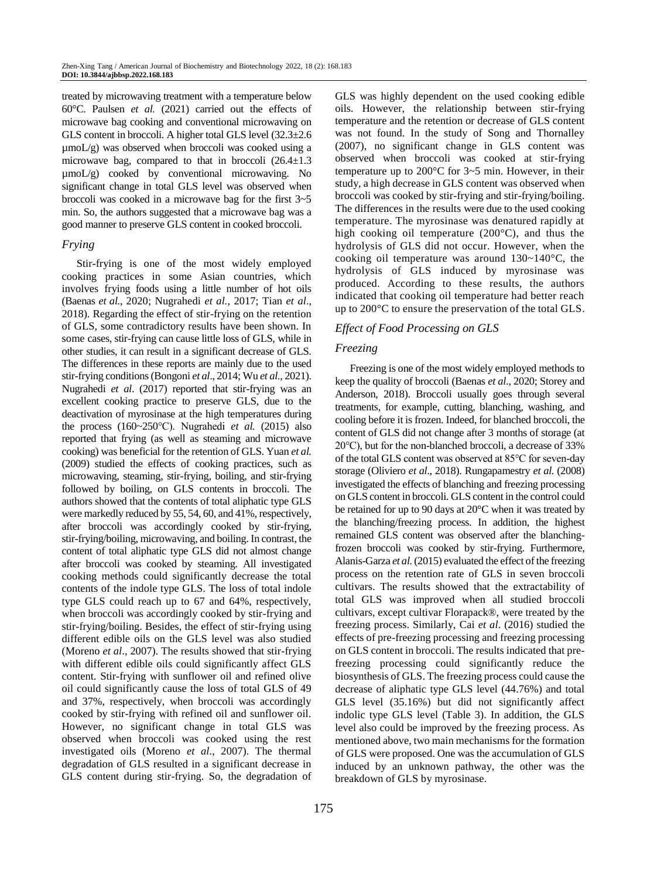treated by microwaving treatment with a temperature below 60°C. Paulsen *et al.* (2021) carried out the effects of microwave bag cooking and conventional microwaving on GLS content in broccoli. A higher total GLS level (32.3±2.6  $\mu$ moL/g) was observed when broccoli was cooked using a microwave bag, compared to that in broccoli  $(26.4 \pm 1.3)$ µmoL/g) cooked by conventional microwaving. No significant change in total GLS level was observed when broccoli was cooked in a microwave bag for the first 3~5 min. So, the authors suggested that a microwave bag was a good manner to preserve GLS content in cooked broccoli.

## *Frying*

Stir-frying is one of the most widely employed cooking practices in some Asian countries, which involves frying foods using a little number of hot oils (Baenas *et al.*, 2020; Nugrahedi *et al.*, 2017; Tian *et al*., 2018). Regarding the effect of stir-frying on the retention of GLS, some contradictory results have been shown. In some cases, stir-frying can cause little loss of GLS, while in other studies, it can result in a significant decrease of GLS. The differences in these reports are mainly due to the used stir-frying conditions (Bongoni *et al*., 2014; Wu *et al.*, 2021). Nugrahedi *et al*. (2017) reported that stir-frying was an excellent cooking practice to preserve GLS, due to the deactivation of myrosinase at the high temperatures during the process (160~250℃). Nugrahedi *et al.* (2015) also reported that frying (as well as steaming and microwave cooking) was beneficial for the retention of GLS. Yuan *et al.*  (2009) studied the effects of cooking practices, such as microwaving, steaming, stir-frying, boiling, and stir-frying followed by boiling, on GLS contents in broccoli. The authors showed that the contents of total aliphatic type GLS were markedly reduced by 55, 54, 60, and 41%, respectively, after broccoli was accordingly cooked by stir-frying, stir-frying/boiling, microwaving, and boiling. In contrast, the content of total aliphatic type GLS did not almost change after broccoli was cooked by steaming. All investigated cooking methods could significantly decrease the total contents of the indole type GLS. The loss of total indole type GLS could reach up to 67 and 64%, respectively, when broccoli was accordingly cooked by stir-frying and stir-frying/boiling. Besides, the effect of stir-frying using different edible oils on the GLS level was also studied (Moreno *et al*., 2007). The results showed that stir-frying with different edible oils could significantly affect GLS content. Stir-frying with sunflower oil and refined olive oil could significantly cause the loss of total GLS of 49 and 37%, respectively, when broccoli was accordingly cooked by stir-frying with refined oil and sunflower oil. However, no significant change in total GLS was observed when broccoli was cooked using the rest investigated oils (Moreno *et al*., 2007). The thermal degradation of GLS resulted in a significant decrease in GLS content during stir-frying. So, the degradation of GLS was highly dependent on the used cooking edible oils. However, the relationship between stir-frying temperature and the retention or decrease of GLS content was not found. In the study of Song and Thornalley (2007), no significant change in GLS content was observed when broccoli was cooked at stir-frying temperature up to 200°C for 3~5 min. However, in their study, a high decrease in GLS content was observed when broccoli was cooked by stir-frying and stir-frying/boiling. The differences in the results were due to the used cooking temperature. The myrosinase was denatured rapidly at high cooking oil temperature (200°C), and thus the hydrolysis of GLS did not occur. However, when the cooking oil temperature was around 130~140°C, the hydrolysis of GLS induced by myrosinase was produced. According to these results, the authors indicated that cooking oil temperature had better reach up to 200°C to ensure the preservation of the total GLS.

## *Effect of Food Processing on GLS*

## *Freezing*

Freezing is one of the most widely employed methods to keep the quality of broccoli (Baenas *et al*., 2020; Storey and Anderson, 2018). Broccoli usually goes through several treatments, for example, cutting, blanching, washing, and cooling before it is frozen. Indeed, for blanched broccoli, the content of GLS did not change after 3 months of storage (at 20℃), but for the non-blanched broccoli, a decrease of 33% of the total GLS content was observed at 85℃ for seven-day storage (Oliviero *et al*., 2018). Rungapamestry *et al.* (2008) investigated the effects of blanching and freezing processing on GLS content in broccoli. GLS content in the control could be retained for up to 90 days at 20°C when it was treated by the blanching/freezing process. In addition, the highest remained GLS content was observed after the blanchingfrozen broccoli was cooked by stir-frying. Furthermore, Alanis-Garza *et al.*(2015) evaluated the effect of the freezing process on the retention rate of GLS in seven broccoli cultivars. The results showed that the extractability of total GLS was improved when all studied broccoli cultivars, except cultivar Florapack®, were treated by the freezing process. Similarly, Cai *et al*. (2016) studied the effects of pre-freezing processing and freezing processing on GLS content in broccoli. The results indicated that prefreezing processing could significantly reduce the biosynthesis of GLS. The freezing process could cause the decrease of aliphatic type GLS level (44.76%) and total GLS level (35.16%) but did not significantly affect indolic type GLS level (Table 3). In addition, the GLS level also could be improved by the freezing process. As mentioned above, two main mechanisms for the formation of GLS were proposed. One was the accumulation of GLS induced by an unknown pathway, the other was the breakdown of GLS by myrosinase.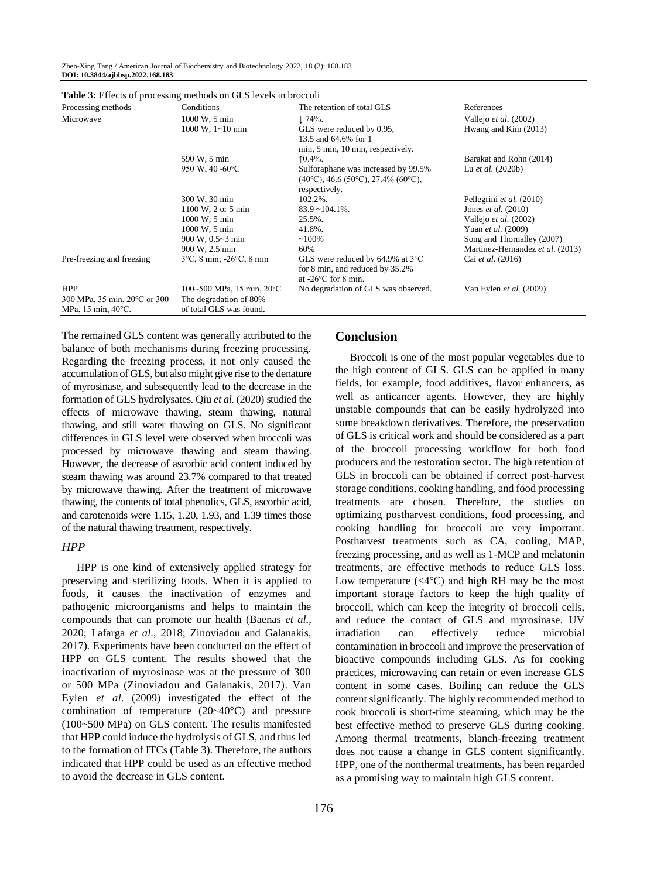Zhen-Xing Tang / American Journal of Biochemistry and Biotechnology 2022, 18 (2): 168.183 **DOI: 10.3844/ajbbsp.2022.168.183**

| Processing methods                      | Conditions                                    | The retention of total GLS                   | References                       |
|-----------------------------------------|-----------------------------------------------|----------------------------------------------|----------------------------------|
| Microwave                               | 1000 W, 5 min                                 | $\downarrow$ 74%.                            | Vallejo et al. (2002)            |
|                                         | $1000 \text{ W}$ , $1 \sim 10 \text{ min}$    | GLS were reduced by 0.95,                    | Hwang and Kim (2013)             |
|                                         |                                               | 13.5 and 64.6% for 1                         |                                  |
|                                         |                                               | min, 5 min, 10 min, respectively.            |                                  |
|                                         | 590 W, 5 min                                  | $10.4\%$ .                                   | Barakat and Rohn (2014)          |
|                                         | 950 W, $40 - 60$ °C                           | Sulforaphane was increased by 99.5%          | Lu <i>et al.</i> $(2020b)$       |
|                                         |                                               | $(40^{\circ}C)$ , 46.6 (50°C), 27.4% (60°C), |                                  |
|                                         |                                               | respectively.                                |                                  |
|                                         | 300 W, 30 min                                 | 102.2%.                                      | Pellegrini et al. (2010)         |
|                                         | 1100 W, 2 or 5 min                            | $83.9 - 104.1\%$ .                           | Jones <i>et al.</i> $(2010)$     |
|                                         | 1000 W, 5 min                                 | 25.5%.                                       | Vallejo et al. (2002)            |
|                                         | 1000 W, 5 min                                 | 41.8%.                                       | Yuan et al. (2009)               |
|                                         | 900 W, 0.5~3 min                              | $~100\%$                                     | Song and Thornalley (2007)       |
|                                         | 900 W, 2.5 min                                | 60%                                          | Martinez-Hernandez et al. (2013) |
| Pre-freezing and freezing               | $3^{\circ}$ C, 8 min; -26 $^{\circ}$ C, 8 min | GLS were reduced by 64.9% at $3^{\circ}$ C   | Cai et al. (2016)                |
|                                         |                                               | for 8 min, and reduced by 35.2%              |                                  |
|                                         |                                               | at $-26$ °C for 8 min.                       |                                  |
| <b>HPP</b>                              | 100~500 MPa, 15 min, 20 °C                    | No degradation of GLS was observed.          | Van Eylen et al. (2009)          |
| 300 MPa, 35 min, 20 °C or 300           | The degradation of 80%                        |                                              |                                  |
| MPa, $15 \text{ min}$ , $40^{\circ}$ C. | of total GLS was found.                       |                                              |                                  |

 $T_{\rm eff}$  **D**  $\sim$  **3:** Effects of processing methods on GLS levels in broad in broad  $\sim$  1.

The remained GLS content was generally attributed to the balance of both mechanisms during freezing processing. Regarding the freezing process, it not only caused the accumulation of GLS, but also might give rise to the denature of myrosinase, and subsequently lead to the decrease in the formation of GLS hydrolysates. Qiu *et al.* (2020) studied the effects of microwave thawing, steam thawing, natural thawing, and still water thawing on GLS. No significant differences in GLS level were observed when broccoli was processed by microwave thawing and steam thawing. However, the decrease of ascorbic acid content induced by steam thawing was around 23.7% compared to that treated by microwave thawing. After the treatment of microwave thawing, the contents of total phenolics, GLS, ascorbic acid, and carotenoids were 1.15, 1.20, 1.93, and 1.39 times those of the natural thawing treatment, respectively.

#### *HPP*

HPP is one kind of extensively applied strategy for preserving and sterilizing foods. When it is applied to foods, it causes the inactivation of enzymes and pathogenic microorganisms and helps to maintain the compounds that can promote our health (Baenas *et al.*, 2020; Lafarga *et al*., 2018; Zinoviadou and Galanakis, 2017). Experiments have been conducted on the effect of HPP on GLS content. The results showed that the inactivation of myrosinase was at the pressure of 300 or 500 MPa (Zinoviadou and Galanakis, 2017). Van Eylen *et al.* (2009) investigated the effect of the combination of temperature (20~40°C) and pressure (100~500 MPa) on GLS content. The results manifested that HPP could induce the hydrolysis of GLS, and thus led to the formation of ITCs (Table 3). Therefore, the authors indicated that HPP could be used as an effective method to avoid the decrease in GLS content.

## **Conclusion**

Broccoli is one of the most popular vegetables due to the high content of GLS. GLS can be applied in many fields, for example, food additives, flavor enhancers, as well as anticancer agents. However, they are highly unstable compounds that can be easily hydrolyzed into some breakdown derivatives. Therefore, the preservation of GLS is critical work and should be considered as a part of the broccoli processing workflow for both food producers and the restoration sector. The high retention of GLS in broccoli can be obtained if correct post-harvest storage conditions, cooking handling, and food processing treatments are chosen. Therefore, the studies on optimizing postharvest conditions, food processing, and cooking handling for broccoli are very important. Postharvest treatments such as CA, cooling, MAP, freezing processing, and as well as 1-MCP and melatonin treatments, are effective methods to reduce GLS loss. Low temperature  $\left(\langle 4^{\circ}C \rangle \right)$  and high RH may be the most important storage factors to keep the high quality of broccoli, which can keep the integrity of broccoli cells, and reduce the contact of GLS and myrosinase. UV irradiation can effectively reduce microbial contamination in broccoli and improve the preservation of bioactive compounds including GLS. As for cooking practices, microwaving can retain or even increase GLS content in some cases. Boiling can reduce the GLS content significantly. The highly recommended method to cook broccoli is short-time steaming, which may be the best effective method to preserve GLS during cooking. Among thermal treatments, blanch-freezing treatment does not cause a change in GLS content significantly. HPP, one of the nonthermal treatments, has been regarded as a promising way to maintain high GLS content.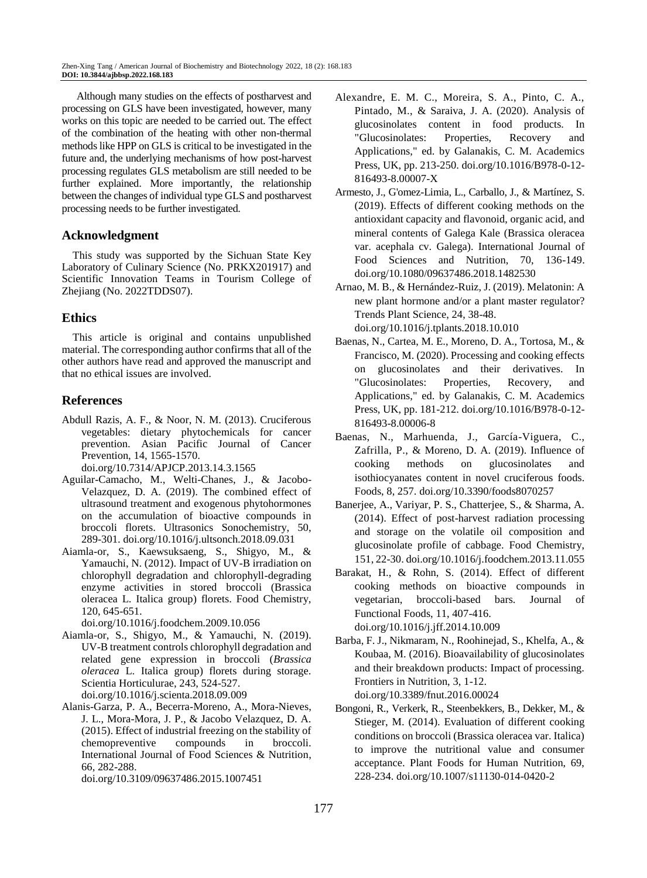Although many studies on the effects of postharvest and processing on GLS have been investigated, however, many works on this topic are needed to be carried out. The effect of the combination of the heating with other non-thermal methods like HPP on GLS is critical to be investigated in the future and, the underlying mechanisms of how post-harvest processing regulates GLS metabolism are still needed to be further explained. More importantly, the relationship between the changes of individual type GLS and postharvest processing needs to be further investigated.

## **Acknowledgment**

This study was supported by the Sichuan State Key Laboratory of Culinary Science (No. PRKX201917) and Scientific Innovation Teams in Tourism College of Zhejiang (No. 2022TDDS07).

# **Ethics**

This article is original and contains unpublished material. The corresponding author confirms that all of the other authors have read and approved the manuscript and that no ethical issues are involved.

# **References**

Abdull Razis, A. F., & Noor, N. M. (2013). Cruciferous vegetables: dietary phytochemicals for cancer prevention. Asian Pacific Journal of Cancer Prevention, 14, 1565-1570.

[doi.org/10.7314/APJCP.2013.14.3.1565](https://doi.org/10.7314/APJCP.2013.14.3.1565)

- Aguilar-Camacho, M., Welti-Chanes, J., & Jacobo-Velazquez, D. A. (2019). The combined effect of ultrasound treatment and exogenous phytohormones on the accumulation of bioactive compounds in broccoli florets. Ultrasonics Sonochemistry, 50, 289-301. [doi.org/10.1016/j.ultsonch.2018.09.031](https://doi.org/10.1016/j.ultsonch.2018.09.031)
- Aiamla-or, S., Kaewsuksaeng, S., Shigyo, M., & Yamauchi, N. (2012). Impact of UV-B irradiation on chlorophyll degradation and chlorophyll-degrading enzyme activities in stored broccoli (Brassica oleracea L. Italica group) florets. Food Chemistry, 120, 645-651.

[doi.org/10.1016/j.foodchem.2009.10.056](https://doi.org/10.1016/j.foodchem.2009.10.056)

Aiamla-or, S., Shigyo, M., & Yamauchi, N. (2019). UV-B treatment controls chlorophyll degradation and related gene expression in broccoli (*Brassica oleracea* L. Italica group) florets during storage. Scientia Horticulurae, 243, 524-527.

[doi.org/10.1016/j.scienta.2018.09.009](https://doi.org/10.1016/j.scienta.2018.09.009)

Alanis-Garza, P. A., Becerra-Moreno, A., Mora-Nieves, J. L., Mora-Mora, J. P., & Jacobo Velazquez, D. A. (2015). Effect of industrial freezing on the stability of chemopreventive compounds in broccoli. International Journal of Food Sciences & Nutrition, 66, 282-288.

[doi.org/10.3109/09637486.2015.1007451](https://doi.org/10.3109/09637486.2015.1007451)

- Alexandre, E. M. C., Moreira, S. A., Pinto, C. A., Pintado, M., & Saraiva, J. A. (2020). Analysis of glucosinolates content in food products. In "Glucosinolates: Properties, Recovery and Applications," ed. by Galanakis, C. M. Academics Press, UK, pp. 213-250[. doi.org/10.1016/B978-0-12-](https://doi.org/10.1016/B978-0-12-816493-8.00007-X) [816493-8.00007-X](https://doi.org/10.1016/B978-0-12-816493-8.00007-X)
- Armesto, J., G'omez-Limia, L., Carballo, J., & Martínez, S. (2019). Effects of different cooking methods on the antioxidant capacity and flavonoid, organic acid, and mineral contents of Galega Kale (Brassica oleracea var. acephala cv. Galega). International Journal of Food Sciences and Nutrition, 70, 136-149. [doi.org/10.1080/09637486.2018.1482530](https://doi.org/10.1080/09637486.2018.1482530)
- Arnao, M. B., & Hernández-Ruiz, J. (2019). Melatonin: A new plant hormone and/or a plant master regulator? Trends Plant Science, 24, 38-48. [doi.org/10.1016/j.tplants.2018.10.010](https://doi.org/10.1016/j.tplants.2018.10.010)
- Baenas, N., Cartea, M. E., Moreno, D. A., Tortosa, M., & Francisco, M. (2020). Processing and cooking effects on glucosinolates and their derivatives. In "Glucosinolates: Properties, Recovery, and Applications," ed. by Galanakis, C. M. Academics Press, UK, pp. 181-212[. doi.org/10.1016/B978-0-12-](https://doi.org/10.1016/B978-0-12-816493-8.00006-8) [816493-8.00006-8](https://doi.org/10.1016/B978-0-12-816493-8.00006-8)
- Baenas, N., Marhuenda, J., García-Viguera, C., Zafrilla, P., & Moreno, D. A. (2019). Influence of cooking methods on glucosinolates and isothiocyanates content in novel cruciferous foods. Foods, 8, 257[. doi.org/10.3390/foods8070257](https://doi.org/10.3390/foods8070257)
- Banerjee, A., Variyar, P. S., Chatterjee, S., & Sharma, A. (2014). Effect of post-harvest radiation processing and storage on the volatile oil composition and glucosinolate profile of cabbage. Food Chemistry, 151, 22-30. [doi.org/10.1016/j.foodchem.2013.11.055](https://doi.org/10.1016/j.foodchem.2013.11.055)
- Barakat, H., & Rohn, S. (2014). Effect of different cooking methods on bioactive compounds in vegetarian, broccoli-based bars. Journal of Functional Foods, 11, 407-416. [doi.org/10.1016/j.jff.2014.10.009](https://doi.org/10.1016/j.jff.2014.10.009)
- Barba, F. J., Nikmaram, N., Roohinejad, S., Khelfa, A., & Koubaa, M. (2016). Bioavailability of glucosinolates and their breakdown products: Impact of processing. Frontiers in Nutrition, 3, 1-12. [doi.org/10.3389/fnut.2016.00024](https://doi.org/10.3389/fnut.2016.00024)

Bongoni, R., Verkerk, R., Steenbekkers, B., Dekker, M., & Stieger, M. (2014). Evaluation of different cooking conditions on broccoli (Brassica oleracea var. Italica) to improve the nutritional value and consumer acceptance. Plant Foods for Human Nutrition, 69, 228-234[. doi.org/10.1007/s11130-014-0420-2](https://doi.org/10.1007/s11130-014-0420-2)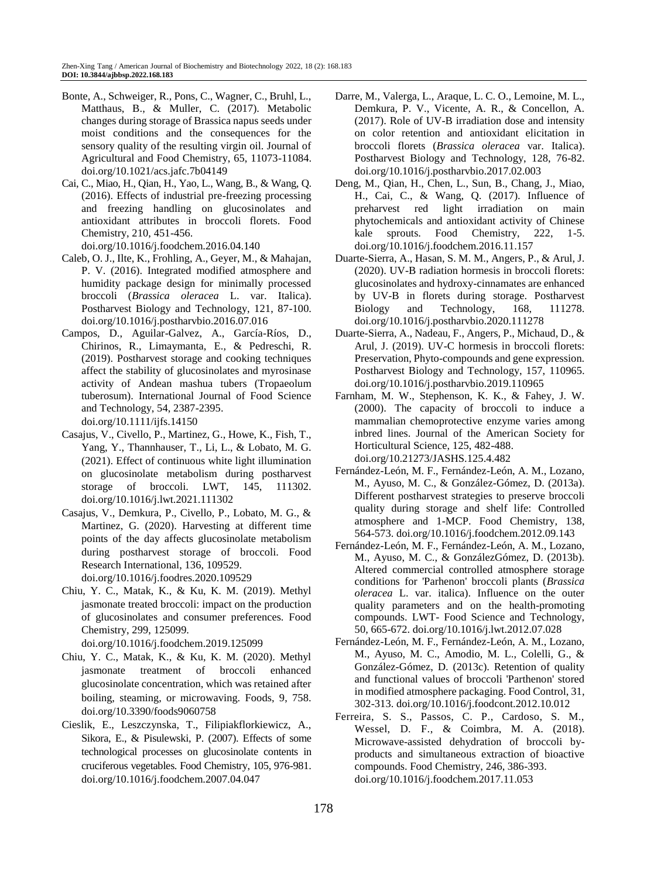- Bonte, A., Schweiger, R., Pons, C., Wagner, C., Bruhl, L., Matthaus, B., & Muller, C. (2017). Metabolic changes during storage of Brassica napus seeds under moist conditions and the consequences for the sensory quality of the resulting virgin oil. Journal of Agricultural and Food Chemistry, 65, 11073-11084. [doi.org/10.1021/acs.jafc.7b04149](https://doi.org/10.1021/acs.jafc.7b04149)
- Cai, C., Miao, H., Qian, H., Yao, L., Wang, B., & Wang, Q. (2016). Effects of industrial pre-freezing processing and freezing handling on glucosinolates and antioxidant attributes in broccoli florets. Food Chemistry, 210, 451-456. [doi.org/10.1016/j.foodchem.2016.04.140](https://doi.org/10.1016/j.foodchem.2016.04.140)
- Caleb, O. J., Ilte, K., Frohling, A., Geyer, M., & Mahajan, P. V. (2016). Integrated modified atmosphere and humidity package design for minimally processed broccoli (*Brassica oleracea* L. var. Italica). Postharvest Biology and Technology, 121, 87-100. [doi.org/10.1016/j.postharvbio.2016.07.016](https://doi.org/10.1016/j.postharvbio.2016.07.016)
- Campos, D., Aguilar-Galvez, A., García-Ríos, D., Chirinos, R., Limaymanta, E., & Pedreschi, R. (2019). Postharvest storage and cooking techniques affect the stability of glucosinolates and myrosinase activity of Andean mashua tubers (Tropaeolum tuberosum). International Journal of Food Science and Technology, 54, 2387-2395. [doi.org/10.1111/ijfs.14150](https://doi.org/10.1111/ijfs.14150)
- Casajus, V., Civello, P., Martinez, G., Howe, K., Fish, T.,
- Yang, Y., Thannhauser, T., Li, L., & Lobato, M. G. (2021). Effect of continuous white light illumination on glucosinolate metabolism during postharvest storage of broccoli. LWT, 145, 111302. [doi.org/10.1016/j.lwt.2021.111302](https://doi.org/10.1016/j.lwt.2021.111302)
- Casajus, V., Demkura, P., Civello, P., Lobato, M. G., & Martinez, G. (2020). Harvesting at different time points of the day affects glucosinolate metabolism during postharvest storage of broccoli. Food Research International, 136, 109529. [doi.org/10.1016/j.foodres.2020.109529](https://doi.org/10.1016/j.foodres.2020.109529)
- Chiu, Y. C., Matak, K., & Ku, K. M. (2019). Methyl jasmonate treated broccoli: impact on the production of glucosinolates and consumer preferences. Food Chemistry, 299, 125099.

[doi.org/10.1016/j.foodchem.2019.125099](https://doi.org/10.1016/j.foodchem.2019.125099)

- Chiu, Y. C., Matak, K., & Ku, K. M. (2020). Methyl jasmonate treatment of broccoli enhanced glucosinolate concentration, which was retained after boiling, steaming, or microwaving. Foods, 9, 758. [doi.org/10.3390/foods9060758](https://doi.org/10.3390/foods9060758)
- Cieslik, E., Leszczynska, T., Filipiakflorkiewicz, A., Sikora, E., & Pisulewski, P. (2007). Effects of some technological processes on glucosinolate contents in cruciferous vegetables. Food Chemistry, 105, 976-981. [doi.org/10.1016/j.foodchem.2007.04.047](https://doi.org/10.1016/j.foodchem.2007.04.047)
- Darre, M., Valerga, L., Araque, L. C. O., Lemoine, M. L., Demkura, P. V., Vicente, A. R., & Concellon, A. (2017). Role of UV-B irradiation dose and intensity on color retention and antioxidant elicitation in broccoli florets (*Brassica oleracea* var. Italica). Postharvest Biology and Technology, 128, 76-82. [doi.org/10.1016/j.postharvbio.2017.02.003](https://doi.org/10.1016/j.postharvbio.2017.02.003)
- Deng, M., Qian, H., Chen, L., Sun, B., Chang, J., Miao, H., Cai, C., & Wang, Q. (2017). Influence of preharvest red light irradiation on main phytochemicals and antioxidant activity of Chinese kale sprouts. Food Chemistry, 222, 1-5. [doi.org/10.1016/j.foodchem.2016.11.157](https://doi.org/10.1016/j.foodchem.2016.11.157)
- Duarte-Sierra, A., Hasan, S. M. M., Angers, P., & Arul, J. (2020). UV-B radiation hormesis in broccoli florets: glucosinolates and hydroxy-cinnamates are enhanced by UV-B in florets during storage. Postharvest Biology and Technology, 168, 111278. [doi.org/10.1016/j.postharvbio.2020.111278](https://doi.org/10.1016/j.postharvbio.2020.111278)
- Duarte-Sierra, A., Nadeau, F., Angers, P., Michaud, D., & Arul, J. (2019). UV-C hormesis in broccoli florets: Preservation, Phyto-compounds and gene expression. Postharvest Biology and Technology, 157, 110965. [doi.org/10.1016/j.postharvbio.2019.110965](https://doi.org/10.1016/j.postharvbio.2019.110965)
- Farnham, M. W., Stephenson, K. K., & Fahey, J. W. (2000). The capacity of broccoli to induce a mammalian chemoprotective enzyme varies among inbred lines. Journal of the American Society for Horticultural Science, 125, 482-488. [doi.org/10.21273/JASHS.125.4.482](https://doi.org/10.21273/JASHS.125.4.482)
- Fernández-León, M. F., Fernández-León, A. M., Lozano, M., Ayuso, M. C., & González-Gómez, D. (2013a). Different postharvest strategies to preserve broccoli quality during storage and shelf life: Controlled atmosphere and 1-MCP. Food Chemistry, 138, 564-573[. doi.org/10.1016/j.foodchem.2012.09.143](https://doi.org/10.1016/j.foodchem.2012.09.143)
- Fernández-León, M. F., Fernández-León, A. M., Lozano, M., Ayuso, M. C., & GonzálezGómez, D. (2013b). Altered commercial controlled atmosphere storage conditions for 'Parhenon' broccoli plants (*Brassica oleracea* L. var. italica). Influence on the outer quality parameters and on the health-promoting compounds. LWT- Food Science and Technology, 50, 665-672[. doi.org/10.1016/j.lwt.2012.07.028](https://doi.org/10.1016/j.lwt.2012.07.028)
- Fernández-León, M. F., Fernández-León, A. M., Lozano, M., Ayuso, M. C., Amodio, M. L., Colelli, G., & González-Gómez, D. (2013c). Retention of quality and functional values of broccoli 'Parthenon' stored in modified atmosphere packaging. Food Control, 31, 302-313[. doi.org/10.1016/j.foodcont.2012.10.012](https://doi.org/10.1016/j.foodcont.2012.10.012)
- Ferreira, S. S., Passos, C. P., Cardoso, S. M., Wessel, D. F., & Coimbra, M. A. (2018). Microwave-assisted dehydration of broccoli byproducts and simultaneous extraction of bioactive compounds. Food Chemistry, 246, 386-393. [doi.org/10.1016/j.foodchem.2017.11.053](https://doi.org/10.1016/j.foodchem.2017.11.053)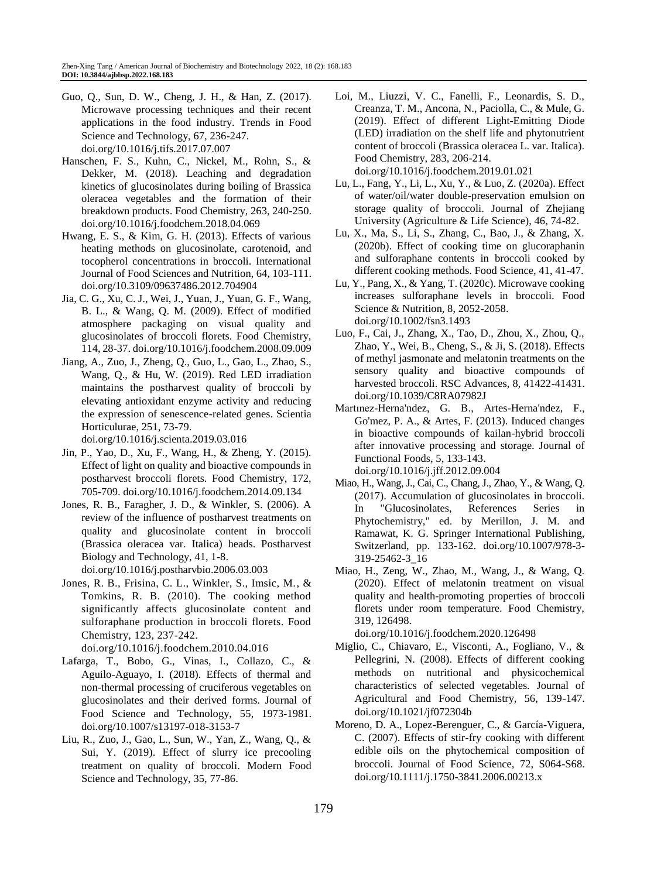- Guo, Q., Sun, D. W., Cheng, J. H., & Han, Z. (2017). Microwave processing techniques and their recent applications in the food industry. Trends in Food Science and Technology, 67, 236-247. [doi.org/10.1016/j.tifs.2017.07.007](https://doi.org/10.1016/j.tifs.2017.07.007)
- Hanschen, F. S., Kuhn, C., Nickel, M., Rohn, S., & Dekker, M. (2018). Leaching and degradation kinetics of glucosinolates during boiling of Brassica oleracea vegetables and the formation of their breakdown products. Food Chemistry, 263, 240-250. [doi.org/10.1016/j.foodchem.2018.04.069](https://doi.org/10.1016/j.foodchem.2018.04.069)
- Hwang, E. S., & Kim, G. H. (2013). Effects of various heating methods on glucosinolate, carotenoid, and tocopherol concentrations in broccoli. International Journal of Food Sciences and Nutrition, 64, 103-111. [doi.org/10.3109/09637486.2012.704904](https://doi.org/10.3109/09637486.2012.704904)
- Jia, C. G., Xu, C. J., Wei, J., Yuan, J., Yuan, G. F., Wang, B. L., & Wang, Q. M. (2009). Effect of modified atmosphere packaging on visual quality and glucosinolates of broccoli florets. Food Chemistry, 114, 28-37[. doi.org/10.1016/j.foodchem.2008.09.009](https://doi.org/10.1016/j.foodchem.2008.09.009)
- Jiang, A., Zuo, J., Zheng, Q., Guo, L., Gao, L., Zhao, S., Wang, Q., & Hu, W. (2019). Red LED irradiation maintains the postharvest quality of broccoli by elevating antioxidant enzyme activity and reducing the expression of senescence-related genes. Scientia Horticulurae, 251, 73-79.

[doi.org/10.1016/j.scienta.2019.03.016](https://doi.org/10.1016/j.scienta.2019.03.016)

- Jin, P., Yao, D., Xu, F., Wang, H., & Zheng, Y. (2015). Effect of light on quality and bioactive compounds in postharvest broccoli florets. Food Chemistry, 172, 705-709. [doi.org/10.1016/j.foodchem.2014.09.134](https://doi.org/10.1016/j.foodchem.2014.09.134)
- Jones, R. B., Faragher, J. D., & Winkler, S. (2006). A review of the influence of postharvest treatments on quality and glucosinolate content in broccoli (Brassica oleracea var. Italica) heads. Postharvest Biology and Technology, 41, 1-8.

[doi.org/10.1016/j.postharvbio.2006.03.003](https://doi.org/10.1016/j.postharvbio.2006.03.003)

Jones, R. B., Frisina, C. L., Winkler, S., Imsic, M., & Tomkins, R. B. (2010). The cooking method significantly affects glucosinolate content and sulforaphane production in broccoli florets. Food Chemistry, 123, 237-242.

[doi.org/10.1016/j.foodchem.2010.04.016](https://doi.org/10.1016/j.foodchem.2010.04.016)

- Lafarga, T., Bobo, G., Vinas, I., Collazo, C., & Aguilo-Aguayo, I. (2018). Effects of thermal and non-thermal processing of cruciferous vegetables on glucosinolates and their derived forms. Journal of Food Science and Technology, 55, 1973-1981. [doi.org/10.1007/s13197-018-3153-7](https://doi.org/10.1007/s13197-018-3153-7)
- Liu, R., Zuo, J., Gao, L., Sun, W., Yan, Z., Wang, Q., & Sui, Y. (2019). Effect of slurry ice precooling treatment on quality of broccoli. Modern Food Science and Technology, 35, 77-86.
- Loi, M., Liuzzi, V. C., Fanelli, F., Leonardis, S. D., Creanza, T. M., Ancona, N., Paciolla, C., & Mule, G. (2019). Effect of different Light-Emitting Diode (LED) irradiation on the shelf life and phytonutrient content of broccoli (Brassica oleracea L. var. Italica). Food Chemistry, 283, 206-214. [doi.org/10.1016/j.foodchem.2019.01.021](https://doi.org/10.1016/j.foodchem.2019.01.021)
- Lu, L., Fang, Y., Li, L., Xu, Y., & Luo, Z. (2020a). Effect of water/oil/water double-preservation emulsion on storage quality of broccoli. Journal of Zhejiang University (Agriculture & Life Science), 46, 74-82.
- Lu, X., Ma, S., Li, S., Zhang, C., Bao, J., & Zhang, X. (2020b). Effect of cooking time on glucoraphanin and sulforaphane contents in broccoli cooked by different cooking methods. Food Science, 41, 41-47.
- Lu, Y., Pang, X., & Yang, T. (2020c). Microwave cooking increases sulforaphane levels in broccoli. Food Science & Nutrition, 8, 2052-2058. [doi.org/10.1002/fsn3.1493](https://doi.org/10.1002/fsn3.1493)
- Luo, F., Cai, J., Zhang, X., Tao, D., Zhou, X., Zhou, Q., Zhao, Y., Wei, B., Cheng, S., & Ji, S. (2018). Effects of methyl jasmonate and melatonin treatments on the sensory quality and bioactive compounds of harvested broccoli. RSC Advances, 8, 41422-41431. [doi.org/10.1039/C8RA07982J](https://doi.org/10.1039/C8RA07982J)
- Martınez-Herna'ndez, G. B., Artes-Herna'ndez, F., Go'mez, P. A., & Artes, F. (2013). Induced changes in bioactive compounds of kailan-hybrid broccoli after innovative processing and storage. Journal of Functional Foods, 5, 133-143. [doi.org/10.1016/j.jff.2012.09.004](https://doi.org/10.1016/j.jff.2012.09.004)
- Miao, H., Wang, J., Cai, C., Chang, J., Zhao, Y., & Wang, Q. (2017). Accumulation of glucosinolates in broccoli. In "Glucosinolates, References Series in Phytochemistry," ed. by Merillon, J. M. and Ramawat, K. G. Springer International Publishing, Switzerland, pp. 133-162. [doi.org/10.1007/978-3-](https://doi.org/10.1007/978-3-319-25462-3_16) [319-25462-3\\_16](https://doi.org/10.1007/978-3-319-25462-3_16)
- Miao, H., Zeng, W., Zhao, M., Wang, J., & Wang, Q. (2020). Effect of melatonin treatment on visual quality and health-promoting properties of broccoli florets under room temperature. Food Chemistry, 319, 126498.

[doi.org/10.1016/j.foodchem.2020.126498](https://doi.org/10.1016/j.foodchem.2020.126498)

- Miglio, C., Chiavaro, E., Visconti, A., Fogliano, V., & Pellegrini, N. (2008). Effects of different cooking methods on nutritional and physicochemical characteristics of selected vegetables. Journal of Agricultural and Food Chemistry, 56, 139-147. [doi.org/10.1021/jf072304b](https://doi.org/10.1021/jf072304b)
- Moreno, D. A., Lopez-Berenguer, C., & García-Viguera, C. (2007). Effects of stir-fry cooking with different edible oils on the phytochemical composition of broccoli. Journal of Food Science, 72, S064-S68. [doi.org/10.1111/j.1750-3841.2006.00213.x](https://doi.org/10.1111/j.1750-3841.2006.00213.x)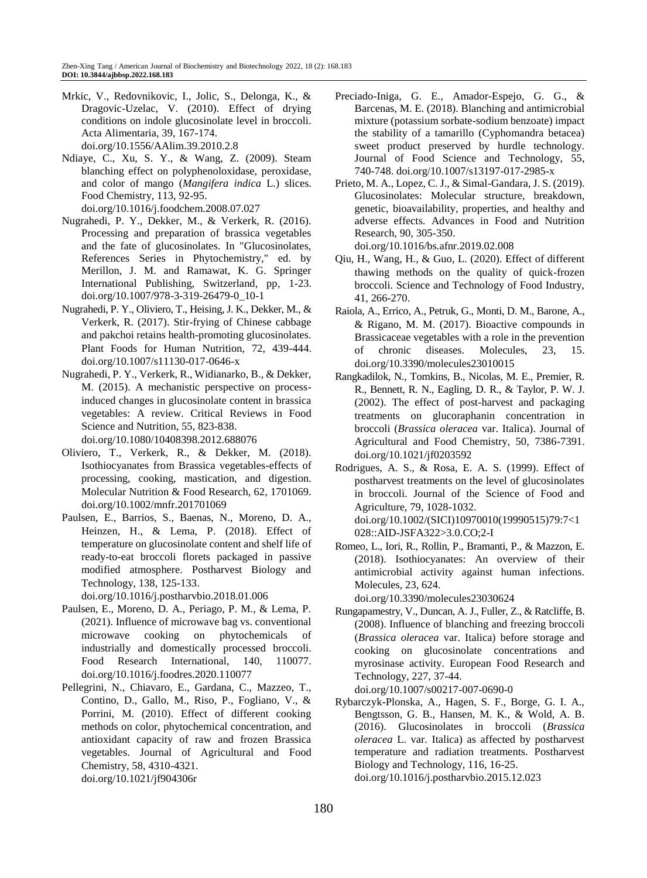- Mrkic, V., Redovnikovic, I., Jolic, S., Delonga, K., & Dragovic-Uzelac, V. (2010). Effect of drying conditions on indole glucosinolate level in broccoli. Acta Alimentaria, 39, 167-174. [doi.org/10.1556/AAlim.39.2010.2.8](https://doi.org/10.1556/AAlim.39.2010.2.8)
- Ndiaye, C., Xu, S. Y., & Wang, Z. (2009). Steam blanching effect on polyphenoloxidase, peroxidase, and color of mango (*Mangifera indica* L.) slices. Food Chemistry, 113, 92-95. [doi.org/10.1016/j.foodchem.2008.07.027](https://doi.org/10.1016/j.foodchem.2008.07.027)
- Nugrahedi, P. Y., Dekker, M., & Verkerk, R. (2016). Processing and preparation of brassica vegetables and the fate of glucosinolates. In "Glucosinolates, References Series in Phytochemistry," ed. by Merillon, J. M. and Ramawat, K. G. Springer International Publishing, Switzerland, pp, 1-23. [doi.org/10.1007/978-3-319-26479-0\\_10-1](https://doi.org/10.1007/978-3-319-26479-0_10-1)
- Nugrahedi, P. Y., Oliviero, T., Heising, J. K., Dekker, M., & Verkerk, R. (2017). Stir-frying of Chinese cabbage and pakchoi retains health-promoting glucosinolates. Plant Foods for Human Nutrition, 72, 439-444. [doi.org/10.1007/s11130-017-0646-x](https://doi.org/10.1007/s11130-017-0646-x)
- Nugrahedi, P. Y., Verkerk, R., Widianarko, B., & Dekker, M. (2015). A mechanistic perspective on processinduced changes in glucosinolate content in brassica vegetables: A review. Critical Reviews in Food Science and Nutrition, 55, 823-838. [doi.org/10.1080/10408398.2012.688076](https://doi.org/10.1080/10408398.2012.688076)
- Oliviero, T., Verkerk, R., & Dekker, M. (2018). Isothiocyanates from Brassica vegetables-effects of processing, cooking, mastication, and digestion. Molecular Nutrition & Food Research, 62, 1701069. [doi.org/10.1002/mnfr.201701069](https://doi.org/10.1002/mnfr.201701069)
- Paulsen, E., Barrios, S., Baenas, N., Moreno, D. A., Heinzen, H., & Lema, P. (2018). Effect of temperature on glucosinolate content and shelf life of ready-to-eat broccoli florets packaged in passive modified atmosphere. Postharvest Biology and Technology, 138, 125-133.

[doi.org/10.1016/j.postharvbio.2018.01.006](https://doi.org/10.1016/j.postharvbio.2018.01.006)

- Paulsen, E., Moreno, D. A., Periago, P. M., & Lema, P. (2021). Influence of microwave bag vs. conventional microwave cooking on phytochemicals of industrially and domestically processed broccoli. Food Research International, 140, 110077. [doi.org/10.1016/j.foodres.2020.110077](https://doi.org/10.1016/j.foodres.2020.110077)
- Pellegrini, N., Chiavaro, E., Gardana, C., Mazzeo, T., Contino, D., Gallo, M., Riso, P., Fogliano, V., & Porrini, M. (2010). Effect of different cooking methods on color, phytochemical concentration, and antioxidant capacity of raw and frozen Brassica vegetables. Journal of Agricultural and Food Chemistry, 58, 4310-4321. [doi.org/10.1021/jf904306r](https://doi.org/10.1021/jf904306r)
- Preciado-Iniga, G. E., Amador-Espejo, G. G., & Barcenas, M. E. (2018). Blanching and antimicrobial mixture (potassium sorbate-sodium benzoate) impact the stability of a tamarillo (Cyphomandra betacea) sweet product preserved by hurdle technology. Journal of Food Science and Technology, 55, 740-748. [doi.org/10.1007/s13197-017-2985-x](https://doi.org/10.1007/s13197-017-2985-x)
- Prieto, M. A., Lopez, C. J., & Simal-Gandara, J. S. (2019). Glucosinolates: Molecular structure, breakdown, genetic, bioavailability, properties, and healthy and adverse effects. Advances in Food and Nutrition Research, 90, 305-350. [doi.org/10.1016/bs.afnr.2019.02.008](https://doi.org/10.1016/bs.afnr.2019.02.008)
- Qiu, H., Wang, H., & Guo, L. (2020). Effect of different thawing methods on the quality of quick-frozen broccoli. Science and Technology of Food Industry, 41, 266-270.
- Raiola, A., Errico, A., Petruk, G., Monti, D. M., Barone, A., & Rigano, M. M. (2017). Bioactive compounds in Brassicaceae vegetables with a role in the prevention of chronic diseases. Molecules, 23, 15. [doi.org/10.3390/molecules23010015](https://doi.org/10.3390/molecules23010015)
- Rangkadilok, N., Tomkins, B., Nicolas, M. E., Premier, R. R., Bennett, R. N., Eagling, D. R., & Taylor, P. W. J. (2002). The effect of post-harvest and packaging treatments on glucoraphanin concentration in broccoli (*Brassica oleracea* var. Italica). Journal of Agricultural and Food Chemistry, 50, 7386-7391. [doi.org/10.1021/jf0203592](https://doi.org/10.1021/jf0203592)
- Rodrigues, A. S., & Rosa, E. A. S. (1999). Effect of postharvest treatments on the level of glucosinolates in broccoli. Journal of the Science of Food and Agriculture, 79, 1028-1032. [doi.org/10.1002/\(SICI\)10970010\(19990515\)79:7<1](https://doi.org/10.1002/(SICI)1097-0010(19990515)79:7%3c1028::AID-JSFA322%3e3.0.CO;2-I) [028::AID-JSFA322>3.0.CO;2-I](https://doi.org/10.1002/(SICI)1097-0010(19990515)79:7%3c1028::AID-JSFA322%3e3.0.CO;2-I)
- Romeo, L., Iori, R., Rollin, P., Bramanti, P., & Mazzon, E. (2018). Isothiocyanates: An overview of their antimicrobial activity against human infections. Molecules, 23, 624.

[doi.org/10.3390/molecules23030624](https://doi.org/10.3390/molecules23030624)

Rungapamestry, V., Duncan, A. J., Fuller, Z., & Ratcliffe, B. (2008). Influence of blanching and freezing broccoli (*Brassica oleracea* var. Italica) before storage and cooking on glucosinolate concentrations and myrosinase activity. European Food Research and Technology, 227, 37-44.

[doi.org/10.1007/s00217-007-0690-0](https://doi.org/10.1007/s00217-007-0690-0)

Rybarczyk-Plonska, A., Hagen, S. F., Borge, G. I. A., Bengtsson, G. B., Hansen, M. K., & Wold, A. B. (2016). Glucosinolates in broccoli (*Brassica oleracea* L. var. Italica) as affected by postharvest temperature and radiation treatments. Postharvest Biology and Technology, 116, 16-25. [doi.org/10.1016/j.postharvbio.2015.12.023](https://doi.org/10.1016/j.postharvbio.2015.12.023)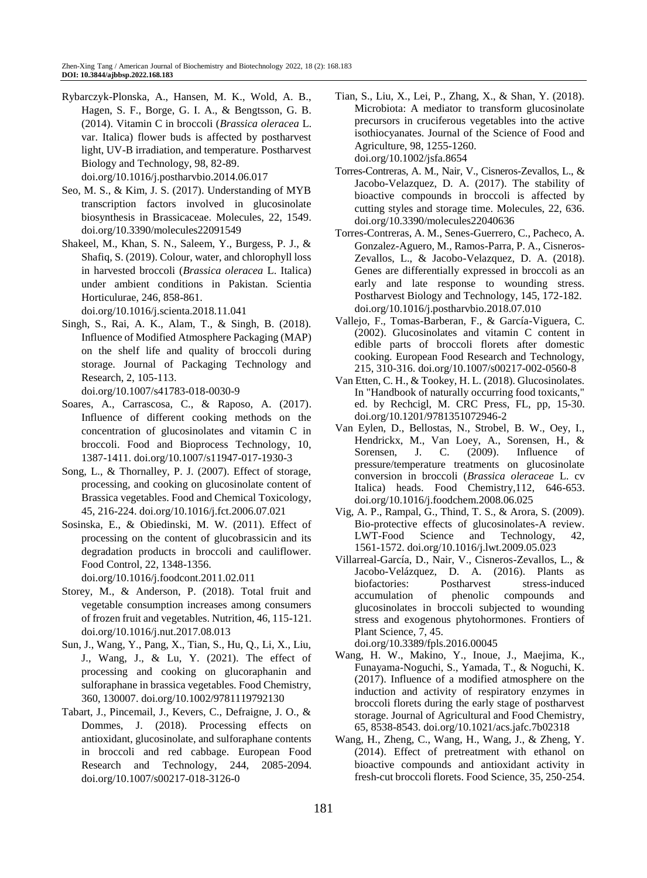- Rybarczyk-Plonska, A., Hansen, M. K., Wold, A. B., Hagen, S. F., Borge, G. I. A., & Bengtsson, G. B. (2014). Vitamin C in broccoli (*Brassica oleracea* L. var. Italica) flower buds is affected by postharvest light, UV-B irradiation, and temperature. Postharvest Biology and Technology, 98, 82-89. [doi.org/10.1016/j.postharvbio.2014.06.017](https://doi.org/10.1016/j.postharvbio.2014.06.017)
- Seo, M. S., & Kim, J. S. (2017). Understanding of MYB transcription factors involved in glucosinolate biosynthesis in Brassicaceae. Molecules, 22, 1549. [doi.org/10.3390/molecules22091549](https://doi.org/10.3390/molecules22091549)
- Shakeel, M., Khan, S. N., Saleem, Y., Burgess, P. J., & Shafiq, S. (2019). Colour, water, and chlorophyll loss in harvested broccoli (*Brassica oleracea* L. Italica) under ambient conditions in Pakistan. Scientia Horticulurae, 246, 858-861.

[doi.org/10.1016/j.scienta.2018.11.041](https://doi.org/10.1016/j.scienta.2018.11.041)

- Singh, S., Rai, A. K., Alam, T., & Singh, B. (2018). Influence of Modified Atmosphere Packaging (MAP) on the shelf life and quality of broccoli during storage. Journal of Packaging Technology and Research, 2, 105-113. [doi.org/10.1007/s41783-018-0030-9](https://doi.org/10.1007/s41783-018-0030-9)
- Soares, A., Carrascosa, C., & Raposo, A. (2017). Influence of different cooking methods on the concentration of glucosinolates and vitamin C in broccoli. Food and Bioprocess Technology, 10, 1387-1411. [doi.org/10.1007/s11947-017-1930-3](https://doi.org/10.1007/s11947-017-1930-3)
- Song, L., & Thornalley, P. J. (2007). Effect of storage, processing, and cooking on glucosinolate content of Brassica vegetables. Food and Chemical Toxicology, 45, 216-224. [doi.org/10.1016/j.fct.2006.07.021](https://doi.org/10.1016/j.fct.2006.07.021)
- Sosinska, E., & Obiedinski, M. W. (2011). Effect of processing on the content of glucobrassicin and its degradation products in broccoli and cauliflower. Food Control, 22, 1348-1356.

[doi.org/10.1016/j.foodcont.2011.02.011](https://doi.org/10.1016/j.foodcont.2011.02.011)

- Storey, M., & Anderson, P. (2018). Total fruit and vegetable consumption increases among consumers of frozen fruit and vegetables. Nutrition, 46, 115-121. [doi.org/10.1016/j.nut.2017.08.013](https://doi.org/10.1016/j.nut.2017.08.013)
- Sun, J., Wang, Y., Pang, X., Tian, S., Hu, Q., Li, X., Liu, J., Wang, J., & Lu, Y. (2021). The effect of processing and cooking on glucoraphanin and sulforaphane in brassica vegetables. Food Chemistry, 360, 130007. [doi.org/10.1002/9781119792130](https://doi.org/10.1002/9781119792130)
- Tabart, J., Pincemail, J., Kevers, C., Defraigne, J. O., & Dommes, J. (2018). Processing effects on antioxidant, glucosinolate, and sulforaphane contents in broccoli and red cabbage. European Food Research and Technology, 244, 2085-2094. [doi.org/10.1007/s00217-018-3126-0](https://doi.org/10.1007/s00217-018-3126-0)
- Tian, S., Liu, X., Lei, P., Zhang, X., & Shan, Y. (2018). Microbiota: A mediator to transform glucosinolate precursors in cruciferous vegetables into the active isothiocyanates. Journal of the Science of Food and Agriculture, 98, 1255-1260. [doi.org/10.1002/jsfa.8654](https://doi.org/10.1002/jsfa.8654)
- Torres-Contreras, A. M., Nair, V., Cisneros-Zevallos, L., & Jacobo-Velazquez, D. A. (2017). The stability of bioactive compounds in broccoli is affected by cutting styles and storage time. Molecules, 22, 636. [doi.org/10.3390/molecules22040636](https://doi.org/10.3390/molecules22040636)
- Torres-Contreras, A. M., Senes-Guerrero, C., Pacheco, A. Gonzalez-Aguero, M., Ramos-Parra, P. A., Cisneros-Zevallos, L., & Jacobo-Velazquez, D. A. (2018). Genes are differentially expressed in broccoli as an early and late response to wounding stress. Postharvest Biology and Technology, 145, 172-182. [doi.org/10.1016/j.postharvbio.2018.07.010](https://doi.org/10.1016/j.postharvbio.2018.07.010)
- Vallejo, F., Tomas-Barberan, F., & García-Viguera, C. (2002). Glucosinolates and vitamin C content in edible parts of broccoli florets after domestic cooking. European Food Research and Technology, 215, 310-316[. doi.org/10.1007/s00217-002-0560-8](https://doi.org/10.1007/s00217-002-0560-8)
- Van Etten, C. H., & Tookey, H. L. (2018). Glucosinolates. In "Handbook of naturally occurring food toxicants," ed. by Rechcigl, M. CRC Press, FL, pp, 15-30. [doi.org/10.1201/9781351072946-2](https://doi.org/10.1201/9781351072946-2)
- Van Eylen, D., Bellostas, N., Strobel, B. W., Oey, I., Hendrickx, M., Van Loey, A., Sorensen, H., & Sorensen, J. C. (2009). Influence of pressure/temperature treatments on glucosinolate conversion in broccoli (*Brassica oleraceae* L. cv Italica) heads. Food Chemistry,112, 646-653. [doi.org/10.1016/j.foodchem.2008.06.025](https://doi.org/10.1016/j.foodchem.2008.06.025)
- Vig, A. P., Rampal, G., Thind, T. S., & Arora, S. (2009). Bio-protective effects of glucosinolates-A review. LWT-Food Science and Technology, 42, 1561-1572[. doi.org/10.1016/j.lwt.2009.05.023](https://doi.org/10.1016/j.lwt.2009.05.023)
- Villarreal-García, D., Nair, V., Cisneros-Zevallos, L., & Jacobo-Velázquez, D. A. (2016). Plants as biofactories: Postharvest stress-induced accumulation of phenolic compounds and glucosinolates in broccoli subjected to wounding stress and exogenous phytohormones. Frontiers of Plant Science, 7, 45.

[doi.org/10.3389/fpls.2016.00045](https://doi.org/10.3389/fpls.2016.00045)

- Wang, H. W., Makino, Y., Inoue, J., Maejima, K., Funayama-Noguchi, S., Yamada, T., & Noguchi, K. (2017). Influence of a modified atmosphere on the induction and activity of respiratory enzymes in broccoli florets during the early stage of postharvest storage. Journal of Agricultural and Food Chemistry, 65, 8538-8543[. doi.org/10.1021/acs.jafc.7b02318](https://doi.org/10.1021/acs.jafc.7b02318)
- Wang, H., Zheng, C., Wang, H., Wang, J., & Zheng, Y. (2014). Effect of pretreatment with ethanol on bioactive compounds and antioxidant activity in fresh-cut broccoli florets. Food Science, 35, 250-254.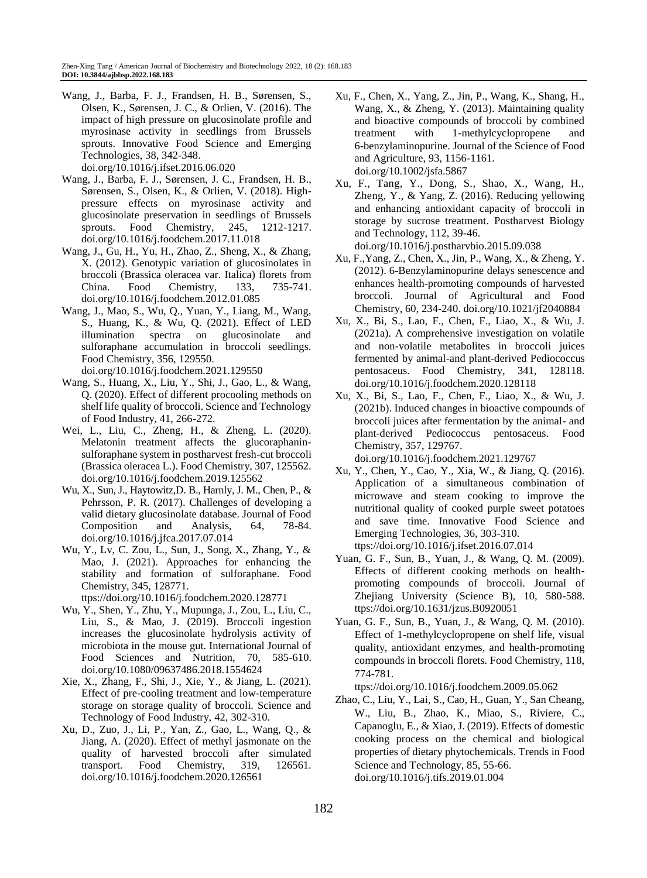- Wang, J., Barba, F. J., Frandsen, H. B., Sørensen, S., Olsen, K., Sørensen, J. C., & Orlien, V. (2016). The impact of high pressure on glucosinolate profile and myrosinase activity in seedlings from Brussels sprouts. Innovative Food Science and Emerging Technologies, 38, 342-348. [doi.org/10.1016/j.ifset.2016.06.020](https://doi.org/10.1016/j.ifset.2016.06.020)
- Wang, J., Barba, F. J., Sørensen, J. C., Frandsen, H. B., Sørensen, S., Olsen, K., & Orlien, V. (2018). Highpressure effects on myrosinase activity and glucosinolate preservation in seedlings of Brussels sprouts. Food Chemistry, 245, 1212-1217. [doi.org/10.1016/j.foodchem.2017.11.018](https://doi.org/10.1016/j.foodchem.2017.11.018)
- Wang, J., Gu, H., Yu, H., Zhao, Z., Sheng, X., & Zhang, X. (2012). Genotypic variation of glucosinolates in broccoli (Brassica oleracea var. Italica) florets from China. Food Chemistry, 133, 735-741. [doi.org/10.1016/j.foodchem.2012.01.085](https://doi.org/10.1016/j.foodchem.2012.01.085)
- Wang, J., Mao, S., Wu, Q., Yuan, Y., Liang, M., Wang, S., Huang, K., & Wu, Q. (2021). Effect of LED illumination spectra on glucosinolate and sulforaphane accumulation in broccoli seedlings. Food Chemistry, 356, 129550.
- [doi.org/10.1016/j.foodchem.2021.129550](https://doi.org/10.1016/j.foodchem.2021.129550)
- Wang, S., Huang, X., Liu, Y., Shi, J., Gao, L., & Wang, Q. (2020). Effect of different procooling methods on shelf life quality of broccoli. Science and Technology of Food Industry, 41, 266-272.
- Wei, L., Liu, C., Zheng, H., & Zheng, L. (2020). Melatonin treatment affects the glucoraphaninsulforaphane system in postharvest fresh-cut broccoli (Brassica oleracea L.). Food Chemistry, 307, 125562. [doi.org/10.1016/j.foodchem.2019.125562](https://doi.org/10.1016/j.foodchem.2019.125562)
- Wu, X., Sun, J., Haytowitz,D. B., Harnly, J. M., Chen, P., & Pehrsson, P. R. (2017). Challenges of developing a valid dietary glucosinolate database. Journal of Food Composition and Analysis, 64, 78-84. [doi.org/10.1016/j.jfca.2017.07.014](https://doi.org/10.1016/j.jfca.2017.07.014)
- Wu, Y., Lv, C. Zou, L., Sun, J., Song, X., Zhang, Y., & Mao, J. (2021). Approaches for enhancing the stability and formation of sulforaphane. Food Chemistry, 345, 128771.
	- ttps://doi.org/10.1016/j.foodchem.2020.128771
- Wu, Y., Shen, Y., Zhu, Y., Mupunga, J., Zou, L., Liu, C., Liu, S., & Mao, J. (2019). Broccoli ingestion increases the glucosinolate hydrolysis activity of microbiota in the mouse gut. International Journal of Food Sciences and Nutrition, 70, 585-610. [doi.org/10.1080/09637486.2018.1554624](https://doi.org/10.1080/09637486.2018.1554624)
- Xie, X., Zhang, F., Shi, J., Xie, Y., & Jiang, L. (2021). Effect of pre-cooling treatment and low-temperature storage on storage quality of broccoli. Science and Technology of Food Industry, 42, 302-310.
- Xu, D., Zuo, J., Li, P., Yan, Z., Gao, L., Wang, Q., & Jiang, A. (2020). Effect of methyl jasmonate on the quality of harvested broccoli after simulated transport. Food Chemistry, 319, 126561. [doi.org/10.1016/j.foodchem.2020.126561](https://doi.org/10.1016/j.foodchem.2020.126561)
- Xu, F., Chen, X., Yang, Z., Jin, P., Wang, K., Shang, H., Wang, X., & Zheng, Y. (2013). Maintaining quality and bioactive compounds of broccoli by combined treatment with 1-methylcyclopropene and 6-benzylaminopurine. Journal of the Science of Food and Agriculture, 93, 1156-1161. [doi.org/10.1002/jsfa.5867](https://doi.org/10.1002/jsfa.5867)
- Xu, F., Tang, Y., Dong, S., Shao, X., Wang, H., Zheng, Y., & Yang, Z. (2016). Reducing yellowing and enhancing antioxidant capacity of broccoli in storage by sucrose treatment. Postharvest Biology and Technology, 112, 39-46. [doi.org/10.1016/j.postharvbio.2015.09.038](https://doi.org/10.1016/j.postharvbio.2015.09.038)
- Xu, F.,Yang, Z., Chen, X., Jin, P., Wang, X., & Zheng, Y. (2012). 6-Benzylaminopurine delays senescence and enhances health-promoting compounds of harvested broccoli. Journal of Agricultural and Food Chemistry, 60, 234-240. [doi.org/10.1021/jf2040884](https://doi.org/10.1021/jf2040884)
- Xu, X., Bi, S., Lao, F., Chen, F., Liao, X., & Wu, J. (2021a). A comprehensive investigation on volatile and non-volatile metabolites in broccoli juices fermented by animal-and plant-derived Pediococcus pentosaceus. Food Chemistry, 341, 128118. [doi.org/10.1016/j.foodchem.2020.128118](https://doi.org/10.1016/j.foodchem.2020.128118)
- Xu, X., Bi, S., Lao, F., Chen, F., Liao, X., & Wu, J. (2021b). Induced changes in bioactive compounds of broccoli juices after fermentation by the animal- and plant-derived Pediococcus pentosaceus. Food Chemistry, 357, 129767. [doi.org/10.1016/j.foodchem.2021.129767](https://doi.org/10.1016/j.foodchem.2021.129767)
- Xu, Y., Chen, Y., Cao, Y., Xia, W., & Jiang, Q. (2016). Application of a simultaneous combination of microwave and steam cooking to improve the nutritional quality of cooked purple sweet potatoes and save time. Innovative Food Science and Emerging Technologies, 36, 303-310. ttps://doi.org/10.1016/j.ifset.2016.07.014
- Yuan, G. F., Sun, B., Yuan, J., & Wang, Q. M. (2009). Effects of different cooking methods on healthpromoting compounds of broccoli. Journal of Zhejiang University (Science B), 10, 580-588. ttps://doi.org/10.1631/jzus.B0920051
- Yuan, G. F., Sun, B., Yuan, J., & Wang, Q. M. (2010). Effect of 1-methylcyclopropene on shelf life, visual quality, antioxidant enzymes, and health-promoting compounds in broccoli florets. Food Chemistry, 118, 774-781.

ttps://doi.org/10.1016/j.foodchem.2009.05.062

Zhao, C., Liu, Y., Lai, S., Cao, H., Guan, Y., San Cheang, W., Liu, B., Zhao, K., Miao, S., Riviere, C., Capanoglu, E., & Xiao, J. (2019). Effects of domestic cooking process on the chemical and biological properties of dietary phytochemicals. Trends in Food Science and Technology, 85, 55-66. doi.org/10.1016/j.tifs.2019.01.004